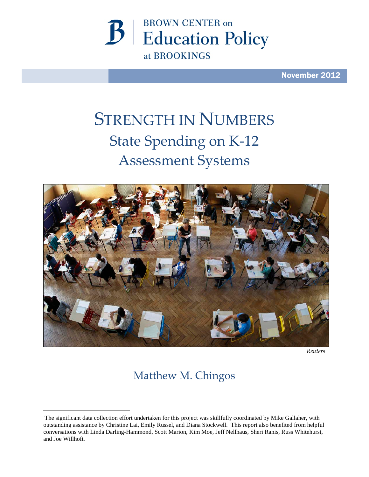

November 2012

# STRENGTH IN NUMBERS State Spending on K-12 Assessment Systems



*Reuters*

# Matthew M. Chingos

<span id="page-0-0"></span>The significant data collection effort undertaken for this project was skillfully coordinated by Mike Gallaher, with outstanding assistance by Christine Lai, Emily Russel, and Diana Stockwell. This report also benefited from helpful conversations with Linda Darling-Hammond, Scott Marion, Kim Moe, Jeff Nellhaus, Sheri Ranis, Russ Whitehurst, and Joe Willhoft.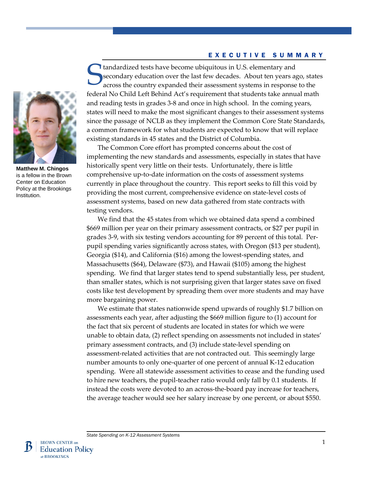#### EXECUTIVE SUMMARY

**Matthew M. Chingos** is a fellow in the Brown Center on Education Policy at the Brookings Institution.

tandardized tests have become ubiquitous in U.S. elementary and secondary education over the last few decades. About ten years ago, states across the country expanded their assessment systems in response to the federal No Child Left Behind Act's requirement that students take annual math and reading tests in grades 3-8 and once in high school. In the coming years, states will need to make the most significant changes to their assessment systems since the passage of NCLB as they implement the Common Core State Standards, a common framework for what students are expected to know that will replace existing standards in 45 states and the District of Columbia. S

The Common Core effort has prompted concerns about the cost of implementing the new standards and assessments, especially in states that have historically spent very little on their tests. Unfortunately, there is little comprehensive up-to-date information on the costs of assessment systems currently in place throughout the country. This report seeks to fill this void by providing the most current, comprehensive evidence on state-level costs of assessment systems, based on new data gathered from state contracts with testing vendors.

We find that the 45 states from which we obtained data spend a combined \$669 million per year on their primary assessment contracts, or \$27 per pupil in grades 3-9, with six testing vendors accounting for 89 percent of this total. Perpupil spending varies significantly across states, with Oregon (\$13 per student), Georgia (\$14), and California (\$16) among the lowest-spending states, and Massachusetts (\$64), Delaware (\$73), and Hawaii (\$105) among the highest spending. We find that larger states tend to spend substantially less, per student, than smaller states, which is not surprising given that larger states save on fixed costs like test development by spreading them over more students and may have more bargaining power.

We estimate that states nationwide spend upwards of roughly \$1.7 billion on assessments each year, after adjusting the \$669 million figure to (1) account for the fact that six percent of students are located in states for which we were unable to obtain data, (2) reflect spending on assessments not included in states' primary assessment contracts, and (3) include state-level spending on assessment-related activities that are not contracted out. This seemingly large number amounts to only one-quarter of one percent of annual K-12 education spending. Were all statewide assessment activities to cease and the funding used to hire new teachers, the pupil-teacher ratio would only fall by 0.1 students. If instead the costs were devoted to an across-the-board pay increase for teachers, the average teacher would see her salary increase by one percent, or about \$550.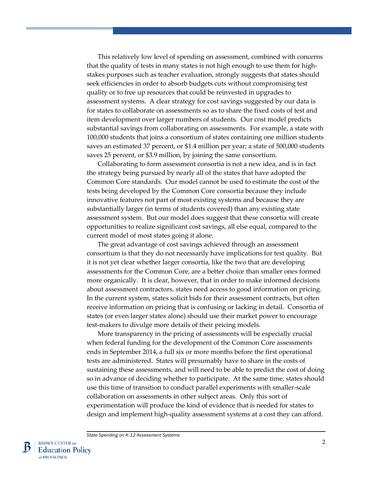This relatively low level of spending on assessment, combined with concerns that the quality of tests in many states is not high enough to use them for highstakes purposes such as teacher evaluation, strongly suggests that states should seek efficiencies in order to absorb budgets cuts without compromising test quality or to free up resources that could be reinvested in upgrades to assessment systems. A clear strategy for cost savings suggested by our data is for states to collaborate on assessments so as to share the fixed costs of test and item development over larger numbers of students. Our cost model predicts substantial savings from collaborating on assessments. For example, a state with 100,000 students that joins a consortium of states containing one million students saves an estimated 37 percent, or \$1.4 million per year; a state of 500,000 students saves 25 percent, or \$3.9 million, by joining the same consortium.

Collaborating to form assessment consortia is not a new idea, and is in fact the strategy being pursued by nearly all of the states that have adopted the Common Core standards. Our model cannot be used to estimate the cost of the tests being developed by the Common Core consortia because they include innovative features not part of most existing systems and because they are substantially larger (in terms of students covered) than any existing state assessment system. But our model does suggest that these consortia will create opportunities to realize significant cost savings, all else equal, compared to the current model of most states going it alone.

The great advantage of cost savings achieved through an assessment consortium is that they do not necessarily have implications for test quality. But it is not yet clear whether larger consortia, like the two that are developing assessments for the Common Core, are a better choice than smaller ones formed more organically. It is clear, however, that in order to make informed decisions about assessment contractors, states need access to good information on pricing. In the current system, states solicit bids for their assessment contracts, but often receive information on pricing that is confusing or lacking in detail. Consortia of states (or even larger states alone) should use their market power to encourage test-makers to divulge more details of their pricing models.

More transparency in the pricing of assessments will be especially crucial when federal funding for the development of the Common Core assessments ends in September 2014, a full six or more months before the first operational tests are administered. States will presumably have to share in the costs of sustaining these assessments, and will need to be able to predict the cost of doing so in advance of deciding whether to participate. At the same time, states should use this time of transition to conduct parallel experiments with smaller-scale collaboration on assessments in other subject areas. Only this sort of experimentation will produce the kind of evidence that is needed for states to design and implement high-quality assessment systems at a cost they can afford.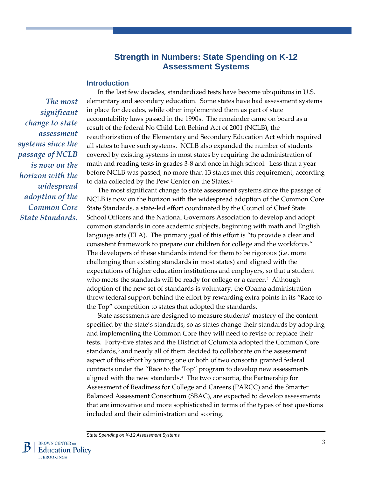# **Strength in Numbers: State Spending on K-12 Assessment Systems**

#### **Introduction**

*The most significant change to state assessment systems since the passage of NCLB is now on the horizon with the widespread adoption of the Common Core State Standards.*

In the last few decades, standardized tests have become ubiquitous in U.S. elementary and secondary education. Some states have had assessment systems in place for decades, while other implemented them as part of state accountability laws passed in the 1990s. The remainder came on board as a result of the federal No Child Left Behind Act of 2001 (NCLB), the reauthorization of the Elementary and Secondary Education Act which required all states to have such systems. NCLB also expanded the number of students covered by existing systems in most states by requiring the administration of math and reading tests in grades 3-8 and once in high school. Less than a year before NCLB was passed, no more than 13 states met this requirement, according to data collected by the Pew Center on the States.<sup>[1](#page-37-0)</sup>

The most significant change to state assessment systems since the passage of NCLB is now on the horizon with the widespread adoption of the Common Core State Standards, a state-led effort coordinated by the Council of Chief State School Officers and the National Governors Association to develop and adopt common standards in core academic subjects, beginning with math and English language arts (ELA). The primary goal of this effort is "to provide a clear and consistent framework to prepare our children for college and the workforce." The developers of these standards intend for them to be rigorous (i.e. more challenging than existing standards in most states) and aligned with the expectations of higher education institutions and employers, so that a student who meets the standards will be ready for college or a career.<sup>2</sup> Although adoption of the new set of standards is voluntary, the Obama administration threw federal support behind the effort by rewarding extra points in its "Race to the Top" competition to states that adopted the standards.

State assessments are designed to measure students' mastery of the content specified by the state's standards, so as states change their standards by adopting and implementing the Common Core they will need to revise or replace their tests. Forty-five states and the District of Columbia adopted the Common Core standards,<sup>3</sup> and nearly all of them decided to collaborate on the assessment aspect of this effort by joining one or both of two consortia granted federal contracts under the "Race to the Top" program to develop new assessments aligned with the new standards.[4](#page-37-0) The two consortia, the Partnership for Assessment of Readiness for College and Careers (PARCC) and the Smarter Balanced Assessment Consortium (SBAC), are expected to develop assessments that are innovative and more sophisticated in terms of the types of test questions included and their administration and scoring.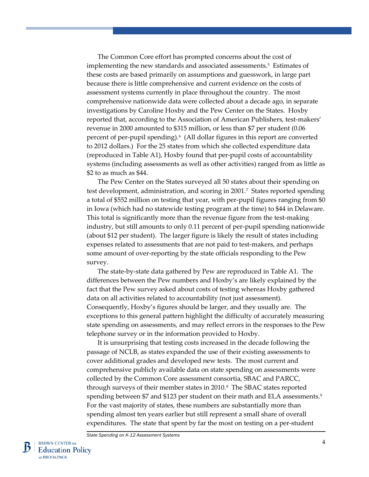The Common Core effort has prompted concerns about the cost of implementing the new standards and associated assessments.<sup>[5](#page-38-0)</sup> Estimates of these costs are based primarily on assumptions and guesswork, in large part because there is little comprehensive and current evidence on the costs of assessment systems currently in place throughout the country. The most comprehensive nationwide data were collected about a decade ago, in separate investigations by Caroline Hoxby and the Pew Center on the States. Hoxby reported that, according to the Association of American Publishers, test-makers' revenue in 2000 amounted to \$315 million, or less than \$7 per student (0.06 percent of per-pupil spending).[6](#page-38-0) (All dollar figures in this report are converted to 2012 dollars.) For the 25 states from which she collected expenditure data (reproduced in Table A1), Hoxby found that per-pupil costs of accountability systems (including assessments as well as other activities) ranged from as little as \$2 to as much as \$44.

The Pew Center on the States surveyed all 50 states about their spending on test development, administration, and scoring in 2001.[7](#page-38-0) States reported spending a total of \$552 million on testing that year, with per-pupil figures ranging from \$0 in Iowa (which had no statewide testing program at the time) to \$44 in Delaware. This total is significantly more than the revenue figure from the test-making industry, but still amounts to only 0.11 percent of per-pupil spending nationwide (about \$12 per student). The larger figure is likely the result of states including expenses related to assessments that are not paid to test-makers, and perhaps some amount of over-reporting by the state officials responding to the Pew survey.

The state-by-state data gathered by Pew are reproduced in Table A1. The differences between the Pew numbers and Hoxby's are likely explained by the fact that the Pew survey asked about costs of testing whereas Hoxby gathered data on all activities related to accountability (not just assessment). Consequently, Hoxby's figures should be larger, and they usually are. The exceptions to this general pattern highlight the difficulty of accurately measuring state spending on assessments, and may reflect errors in the responses to the Pew telephone survey or in the information provided to Hoxby.

It is unsurprising that testing costs increased in the decade following the passage of NCLB, as states expanded the use of their existing assessments to cover additional grades and developed new tests. The most current and comprehensive publicly available data on state spending on assessments were collected by the Common Core assessment consortia, SBAC and PARCC, through surveys of their member states in 2010.[8](#page-38-0) The SBAC states reported spending between \$7 and \$123 per student on their math and ELA assessments.<sup>9</sup> For the vast majority of states, these numbers are substantially more than spending almost ten years earlier but still represent a small share of overall expenditures. The state that spent by far the most on testing on a per-student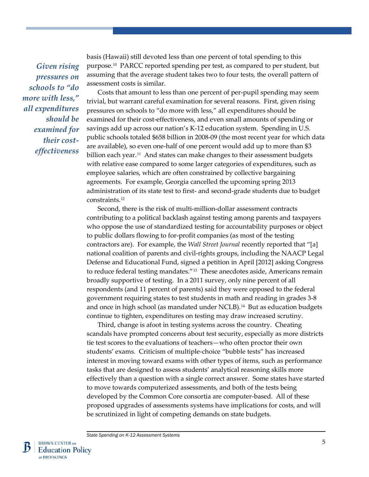*Given rising pressures on schools to "do more with less," all expenditures should be examined for their costeffectiveness*

basis (Hawaii) still devoted less than one percent of total spending to this purpose.[10](#page-39-0) PARCC reported spending per test, as compared to per student, but assuming that the average student takes two to four tests, the overall pattern of assessment costs is similar.

Costs that amount to less than one percent of per-pupil spending may seem trivial, but warrant careful examination for several reasons. First, given rising pressures on schools to "do more with less," all expenditures should be examined for their cost-effectiveness, and even small amounts of spending or savings add up across our nation's K-12 education system. Spending in U.S. public schools totaled \$658 billion in 2008-09 (the most recent year for which data are available), so even one-half of one percent would add up to more than \$3 billion each year.<sup>11</sup> And states can make changes to their assessment budgets with relative ease compared to some larger categories of expenditures, such as employee salaries, which are often constrained by collective bargaining agreements. For example, Georgia cancelled the upcoming spring 2013 administration of its state test to first- and second-grade students due to budget constraints.[12](#page-39-0)

Second, there is the risk of multi-million-dollar assessment contracts contributing to a political backlash against testing among parents and taxpayers who oppose the use of standardized testing for accountability purposes or object to public dollars flowing to for-profit companies (as most of the testing contractors are). For example, the *Wall Street Journal* recently reported that "[a] national coalition of parents and civil-rights groups, including the NAACP Legal Defense and Educational Fund, signed a petition in April [2012] asking Congress to reduce federal testing mandates."<sup>[13](#page-39-0)</sup> These anecdotes aside, Americans remain broadly supportive of testing. In a 2011 survey, only nine percent of all respondents (and 11 percent of parents) said they were opposed to the federal government requiring states to test students in math and reading in grades 3-8 and once in high school (as mandated under NCLB).<sup>[14](#page-39-0)</sup> But as education budgets continue to tighten, expenditures on testing may draw increased scrutiny.

Third, change is afoot in testing systems across the country. Cheating scandals have prompted concerns about test security, especially as more districts tie test scores to the evaluations of teachers—who often proctor their own students' exams. Criticism of multiple-choice "bubble tests" has increased interest in moving toward exams with other types of items, such as performance tasks that are designed to assess students' analytical reasoning skills more effectively than a question with a single correct answer. Some states have started to move towards computerized assessments, and both of the tests being developed by the Common Core consortia are computer-based. All of these proposed upgrades of assessments systems have implications for costs, and will be scrutinized in light of competing demands on state budgets.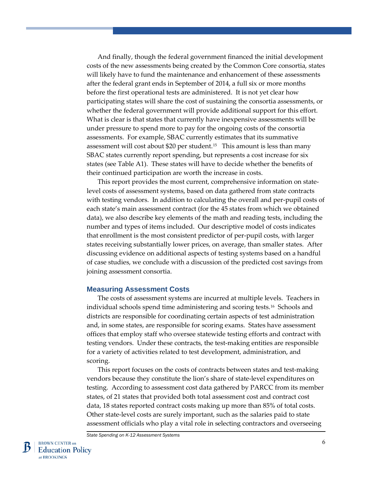And finally, though the federal government financed the initial development costs of the new assessments being created by the Common Core consortia, states will likely have to fund the maintenance and enhancement of these assessments after the federal grant ends in September of 2014, a full six or more months before the first operational tests are administered. It is not yet clear how participating states will share the cost of sustaining the consortia assessments, or whether the federal government will provide additional support for this effort. What is clear is that states that currently have inexpensive assessments will be under pressure to spend more to pay for the ongoing costs of the consortia assessments. For example, SBAC currently estimates that its summative assessment will cost about \$20 per student.[15](#page-40-0) This amount is less than many SBAC states currently report spending, but represents a cost increase for six states (see Table A1). These states will have to decide whether the benefits of their continued participation are worth the increase in costs.

This report provides the most current, comprehensive information on statelevel costs of assessment systems, based on data gathered from state contracts with testing vendors. In addition to calculating the overall and per-pupil costs of each state's main assessment contract (for the 45 states from which we obtained data), we also describe key elements of the math and reading tests, including the number and types of items included. Our descriptive model of costs indicates that enrollment is the most consistent predictor of per-pupil costs, with larger states receiving substantially lower prices, on average, than smaller states. After discussing evidence on additional aspects of testing systems based on a handful of case studies, we conclude with a discussion of the predicted cost savings from joining assessment consortia.

#### **Measuring Assessment Costs**

The costs of assessment systems are incurred at multiple levels. Teachers in individual schools spend time administering and scoring tests.[16](#page-40-0) Schools and districts are responsible for coordinating certain aspects of test administration and, in some states, are responsible for scoring exams. States have assessment offices that employ staff who oversee statewide testing efforts and contract with testing vendors. Under these contracts, the test-making entities are responsible for a variety of activities related to test development, administration, and scoring.

This report focuses on the costs of contracts between states and test-making vendors because they constitute the lion's share of state-level expenditures on testing. According to assessment cost data gathered by PARCC from its member states, of 21 states that provided both total assessment cost and contract cost data, 18 states reported contract costs making up more than 85% of total costs. Other state-level costs are surely important, such as the salaries paid to state assessment officials who play a vital role in selecting contractors and overseeing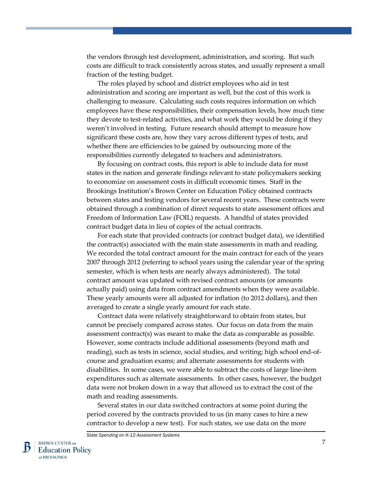the vendors through test development, administration, and scoring. But such costs are difficult to track consistently across states, and usually represent a small fraction of the testing budget.

The roles played by school and district employees who aid in test administration and scoring are important as well, but the cost of this work is challenging to measure. Calculating such costs requires information on which employees have these responsibilities, their compensation levels, how much time they devote to test-related activities, and what work they would be doing if they weren't involved in testing. Future research should attempt to measure how significant these costs are, how they vary across different types of tests, and whether there are efficiencies to be gained by outsourcing more of the responsibilities currently delegated to teachers and administrators.

By focusing on contract costs, this report is able to include data for most states in the nation and generate findings relevant to state policymakers seeking to economize on assessment costs in difficult economic times. Staff in the Brookings Institution's Brown Center on Education Policy obtained contracts between states and testing vendors for several recent years. These contracts were obtained through a combination of direct requests to state assessment offices and Freedom of Information Law (FOIL) requests. A handful of states provided contract budget data in lieu of copies of the actual contracts.

For each state that provided contracts (or contract budget data), we identified the contract(s) associated with the main state assessments in math and reading. We recorded the total contract amount for the main contract for each of the years 2007 through 2012 (referring to school years using the calendar year of the spring semester, which is when tests are nearly always administered). The total contract amount was updated with revised contract amounts (or amounts actually paid) using data from contract amendments when they were available. These yearly amounts were all adjusted for inflation (to 2012 dollars), and then averaged to create a single yearly amount for each state.

Contract data were relatively straightforward to obtain from states, but cannot be precisely compared across states. Our focus on data from the main assessment contract(s) was meant to make the data as comparable as possible. However, some contracts include additional assessments (beyond math and reading), such as tests in science, social studies, and writing; high school end-ofcourse and graduation exams; and alternate assessments for students with disabilities. In some cases, we were able to subtract the costs of large line-item expenditures such as alternate assessments. In other cases, however, the budget data were not broken down in a way that allowed us to extract the cost of the math and reading assessments.

Several states in our data switched contractors at some point during the period covered by the contracts provided to us (in many cases to hire a new contractor to develop a new test). For such states, we use data on the more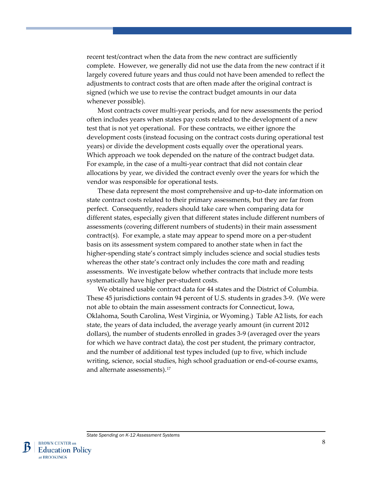recent test/contract when the data from the new contract are sufficiently complete. However, we generally did not use the data from the new contract if it largely covered future years and thus could not have been amended to reflect the adjustments to contract costs that are often made after the original contract is signed (which we use to revise the contract budget amounts in our data whenever possible).

Most contracts cover multi-year periods, and for new assessments the period often includes years when states pay costs related to the development of a new test that is not yet operational. For these contracts, we either ignore the development costs (instead focusing on the contract costs during operational test years) or divide the development costs equally over the operational years. Which approach we took depended on the nature of the contract budget data. For example, in the case of a multi-year contract that did not contain clear allocations by year, we divided the contract evenly over the years for which the vendor was responsible for operational tests.

These data represent the most comprehensive and up-to-date information on state contract costs related to their primary assessments, but they are far from perfect. Consequently, readers should take care when comparing data for different states, especially given that different states include different numbers of assessments (covering different numbers of students) in their main assessment contract(s). For example, a state may appear to spend more on a per-student basis on its assessment system compared to another state when in fact the higher-spending state's contract simply includes science and social studies tests whereas the other state's contract only includes the core math and reading assessments. We investigate below whether contracts that include more tests systematically have higher per-student costs.

We obtained usable contract data for 44 states and the District of Columbia. These 45 jurisdictions contain 94 percent of U.S. students in grades 3-9. (We were not able to obtain the main assessment contracts for Connecticut, Iowa, Oklahoma, South Carolina, West Virginia, or Wyoming.) Table A2 lists, for each state, the years of data included, the average yearly amount (in current 2012 dollars), the number of students enrolled in grades 3-9 (averaged over the years for which we have contract data), the cost per student, the primary contractor, and the number of additional test types included (up to five, which include writing, science, social studies, high school graduation or end-of-course exams, and alternate assessments).[17](#page--1-0)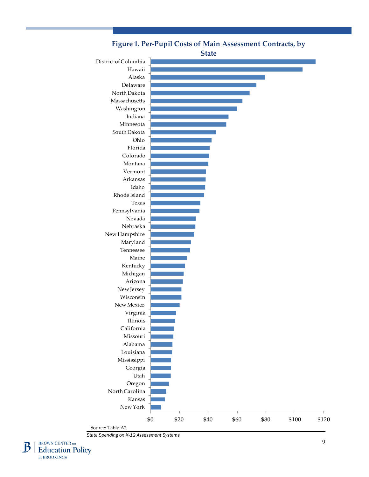

**Figure 1. Per-Pupil Costs of Main Assessment Contracts, by** 

Source: Table A2

*State Spending on K-12 Assessment Systems*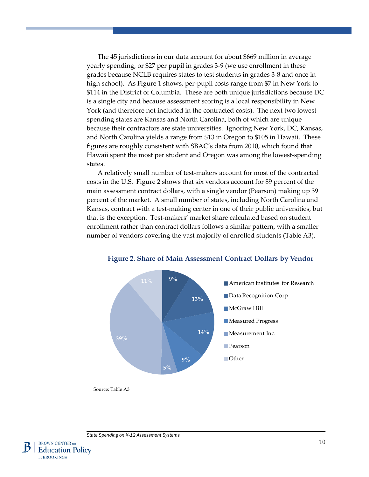The 45 jurisdictions in our data account for about \$669 million in average yearly spending, or \$27 per pupil in grades 3-9 (we use enrollment in these grades because NCLB requires states to test students in grades 3-8 and once in high school). As Figure 1 shows, per-pupil costs range from \$7 in New York to \$114 in the District of Columbia. These are both unique jurisdictions because DC is a single city and because assessment scoring is a local responsibility in New York (and therefore not included in the contracted costs). The next two lowestspending states are Kansas and North Carolina, both of which are unique because their contractors are state universities. Ignoring New York, DC, Kansas, and North Carolina yields a range from \$13 in Oregon to \$105 in Hawaii. These figures are roughly consistent with SBAC's data from 2010, which found that Hawaii spent the most per student and Oregon was among the lowest-spending states.

A relatively small number of test-makers account for most of the contracted costs in the U.S. Figure 2 shows that six vendors account for 89 percent of the main assessment contract dollars, with a single vendor (Pearson) making up 39 percent of the market. A small number of states, including North Carolina and Kansas, contract with a test-making center in one of their public universities, but that is the exception. Test-makers' market share calculated based on student enrollment rather than contract dollars follows a similar pattern, with a smaller number of vendors covering the vast majority of enrolled students (Table A3).



#### **Figure 2. Share of Main Assessment Contract Dollars by Vendor**



Source: Table A3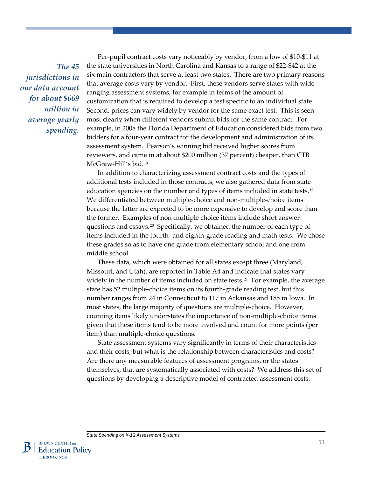*The 45 jurisdictions in our data account for about \$669 million in average yearly spending.*

Per-pupil contract costs vary noticeably by vendor, from a low of \$10-\$11 at the state universities in North Carolina and Kansas to a range of \$22-\$42 at the six main contractors that serve at least two states. There are two primary reasons that average costs vary by vendor. First, these vendors serve states with wideranging assessment systems, for example in terms of the amount of customization that is required to develop a test specific to an individual state. Second, prices can vary widely by vendor for the same exact test. This is seen most clearly when different vendors submit bids for the same contract. For example, in 2008 the Florida Department of Education considered bids from two bidders for a four-year contract for the development and administration of its assessment system. Pearson's winning bid received higher scores from reviewers, and came in at about \$200 million (37 percent) cheaper, than CTB McGraw-Hill's bid.[18](#page--1-1)

In addition to characterizing assessment contract costs and the types of additional tests included in those contracts, we also gathered data from state education agencies on the number and types of items included in state tests.[19](#page--1-0) We differentiated between multiple-choice and non-multiple-choice items because the latter are expected to be more expensive to develop and score than the former. Examples of non-multiple choice items include short answer questions and essays.[20](#page--1-2) Specifically, we obtained the number of each type of items included in the fourth- and eighth-grade reading and math tests. We chose these grades so as to have one grade from elementary school and one from middle school.

These data, which were obtained for all states except three (Maryland, Missouri, and Utah), are reported in Table A4 and indicate that states vary widely in the number of items included on state tests.<sup>[21](#page--1-3)</sup> For example, the average state has 52 multiple-choice items on its fourth-grade reading test, but this number ranges from 24 in Connecticut to 117 in Arkansas and 185 in Iowa. In most states, the large majority of questions are multiple-choice. However, counting items likely understates the importance of non-multiple-choice items given that these items tend to be more involved and count for more points (per item) than multiple-choice questions.

State assessment systems vary significantly in terms of their characteristics and their costs, but what is the relationship between characteristics and costs? Are there any measurable features of assessment programs, or the states themselves, that are systematically associated with costs? We address this set of questions by developing a descriptive model of contracted assessment costs.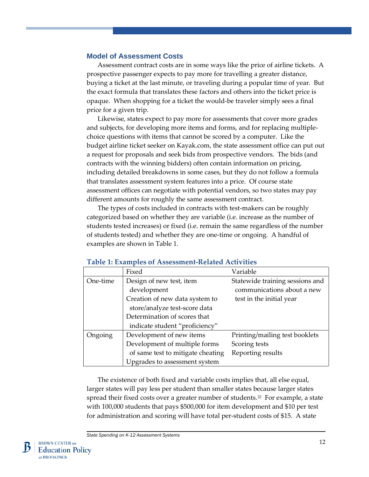#### **Model of Assessment Costs**

Assessment contract costs are in some ways like the price of airline tickets. A prospective passenger expects to pay more for travelling a greater distance, buying a ticket at the last minute, or traveling during a popular time of year. But the exact formula that translates these factors and others into the ticket price is opaque. When shopping for a ticket the would-be traveler simply sees a final price for a given trip.

Likewise, states expect to pay more for assessments that cover more grades and subjects, for developing more items and forms, and for replacing multiplechoice questions with items that cannot be scored by a computer. Like the budget airline ticket seeker on Kayak.com, the state assessment office can put out a request for proposals and seek bids from prospective vendors. The bids (and contracts with the winning bidders) often contain information on pricing, including detailed breakdowns in some cases, but they do not follow a formula that translates assessment system features into a price. Of course state assessment offices can negotiate with potential vendors, so two states may pay different amounts for roughly the same assessment contract.

The types of costs included in contracts with test-makers can be roughly categorized based on whether they are variable (i.e. increase as the number of students tested increases) or fixed (i.e. remain the same regardless of the number of students tested) and whether they are one-time or ongoing. A handful of examples are shown in Table 1.

|          | Fixed                             | Variable                        |
|----------|-----------------------------------|---------------------------------|
| One-time | Design of new test, item          | Statewide training sessions and |
|          | development                       | communications about a new      |
|          | Creation of new data system to    | test in the initial year        |
|          | store/analyze test-score data     |                                 |
|          | Determination of scores that      |                                 |
|          | indicate student "proficiency"    |                                 |
| Ongoing  | Development of new items          | Printing/mailing test booklets  |
|          | Development of multiple forms     | Scoring tests                   |
|          | of same test to mitigate cheating | Reporting results               |
|          | Upgrades to assessment system     |                                 |

#### **Table 1: Examples of Assessment-Related Activities**

The existence of both fixed and variable costs implies that, all else equal, larger states will pay less per student than smaller states because larger states spread their fixed costs over a greater number of students.<sup>[22](#page--1-4)</sup> For example, a state with 100,000 students that pays \$500,000 for item development and \$10 per test for administration and scoring will have total per-student costs of \$15. A state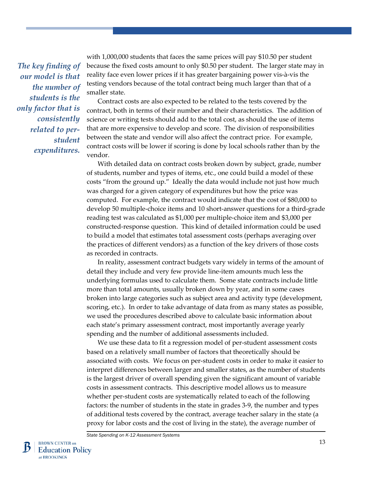*The key finding of our model is that the number of students is the only factor that is consistently related to perstudent expenditures.* 

with 1,000,000 students that faces the same prices will pay \$10.50 per student because the fixed costs amount to only \$0.50 per student. The larger state may in reality face even lower prices if it has greater bargaining power vis-à-vis the testing vendors because of the total contract being much larger than that of a smaller state.

Contract costs are also expected to be related to the tests covered by the contract, both in terms of their number and their characteristics. The addition of science or writing tests should add to the total cost, as should the use of items that are more expensive to develop and score. The division of responsibilities between the state and vendor will also affect the contract price. For example, contract costs will be lower if scoring is done by local schools rather than by the vendor.

With detailed data on contract costs broken down by subject, grade, number of students, number and types of items, etc., one could build a model of these costs "from the ground up." Ideally the data would include not just how much was charged for a given category of expenditures but how the price was computed. For example, the contract would indicate that the cost of \$80,000 to develop 50 multiple-choice items and 10 short-answer questions for a third-grade reading test was calculated as \$1,000 per multiple-choice item and \$3,000 per constructed-response question. This kind of detailed information could be used to build a model that estimates total assessment costs (perhaps averaging over the practices of different vendors) as a function of the key drivers of those costs as recorded in contracts.

In reality, assessment contract budgets vary widely in terms of the amount of detail they include and very few provide line-item amounts much less the underlying formulas used to calculate them. Some state contracts include little more than total amounts, usually broken down by year, and in some cases broken into large categories such as subject area and activity type (development, scoring, etc.). In order to take advantage of data from as many states as possible, we used the procedures described above to calculate basic information about each state's primary assessment contract, most importantly average yearly spending and the number of additional assessments included.

We use these data to fit a regression model of per-student assessment costs based on a relatively small number of factors that theoretically should be associated with costs. We focus on per-student costs in order to make it easier to interpret differences between larger and smaller states, as the number of students is the largest driver of overall spending given the significant amount of variable costs in assessment contracts. This descriptive model allows us to measure whether per-student costs are systematically related to each of the following factors: the number of students in the state in grades 3-9, the number and types of additional tests covered by the contract, average teacher salary in the state (a proxy for labor costs and the cost of living in the state), the average number of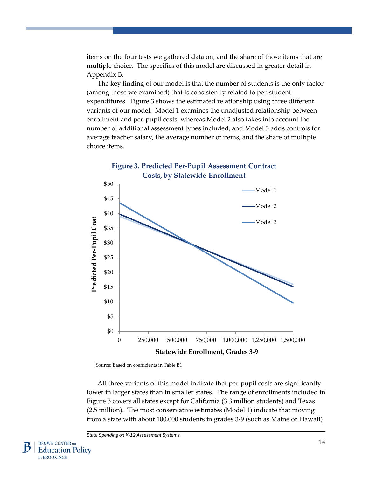items on the four tests we gathered data on, and the share of those items that are multiple choice. The specifics of this model are discussed in greater detail in Appendix B.

The key finding of our model is that the number of students is the only factor (among those we examined) that is consistently related to per-student expenditures. Figure 3 shows the estimated relationship using three different variants of our model. Model 1 examines the unadjusted relationship between enrollment and per-pupil costs, whereas Model 2 also takes into account the number of additional assessment types included, and Model 3 adds controls for average teacher salary, the average number of items, and the share of multiple choice items.



Source: Based on coefficients in Table B1

All three variants of this model indicate that per-pupil costs are significantly lower in larger states than in smaller states. The range of enrollments included in Figure 3 covers all states except for California (3.3 million students) and Texas (2.5 million). The most conservative estimates (Model 1) indicate that moving from a state with about 100,000 students in grades 3-9 (such as Maine or Hawaii)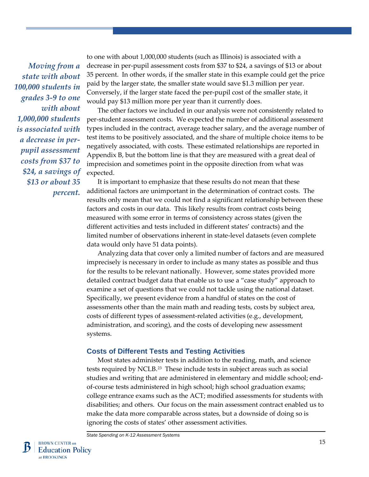*Moving from a state with about 100,000 students in grades 3-9 to one with about 1,000,000 students is associated with a decrease in perpupil assessment costs from \$37 to \$24, a savings of \$13 or about 35 percent.* to one with about 1,000,000 students (such as Illinois) is associated with a decrease in per-pupil assessment costs from \$37 to \$24, a savings of \$13 or about 35 percent. In other words, if the smaller state in this example could get the price paid by the larger state, the smaller state would save \$1.3 million per year. Conversely, if the larger state faced the per-pupil cost of the smaller state, it would pay \$13 million more per year than it currently does.

The other factors we included in our analysis were not consistently related to per-student assessment costs. We expected the number of additional assessment types included in the contract, average teacher salary, and the average number of test items to be positively associated, and the share of multiple choice items to be negatively associated, with costs. These estimated relationships are reported in Appendix B, but the bottom line is that they are measured with a great deal of imprecision and sometimes point in the opposite direction from what was expected.

It is important to emphasize that these results do not mean that these additional factors are unimportant in the determination of contract costs. The results only mean that we could not find a significant relationship between these factors and costs in our data. This likely results from contract costs being measured with some error in terms of consistency across states (given the different activities and tests included in different states' contracts) and the limited number of observations inherent in state-level datasets (even complete data would only have 51 data points).

Analyzing data that cover only a limited number of factors and are measured imprecisely is necessary in order to include as many states as possible and thus for the results to be relevant nationally. However, some states provided more detailed contract budget data that enable us to use a "case study" approach to examine a set of questions that we could not tackle using the national dataset. Specifically, we present evidence from a handful of states on the cost of assessments other than the main math and reading tests, costs by subject area, costs of different types of assessment-related activities (e.g., development, administration, and scoring), and the costs of developing new assessment systems.

#### **Costs of Different Tests and Testing Activities**

Most states administer tests in addition to the reading, math, and science tests required by NCLB.[23](#page--1-5) These include tests in subject areas such as social studies and writing that are administered in elementary and middle school; endof-course tests administered in high school; high school graduation exams; college entrance exams such as the ACT; modified assessments for students with disabilities; and others. Our focus on the main assessment contract enabled us to make the data more comparable across states, but a downside of doing so is ignoring the costs of states' other assessment activities.

*State Spending on K-12 Assessment Systems*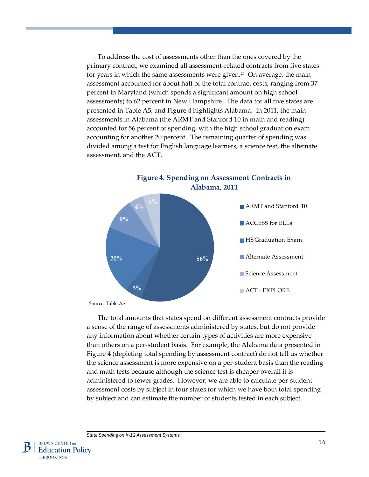To address the cost of assessments other than the ones covered by the primary contract, we examined all assessment-related contracts from five states for years in which the same assessments were given.<sup>[24](#page--1-6)</sup> On average, the main assessment accounted for about half of the total contract costs, ranging from 37 percent in Maryland (which spends a significant amount on high school assessments) to 62 percent in New Hampshire. The data for all five states are presented in Table A5, and Figure 4 highlights Alabama. In 2011, the main assessments in Alabama (the ARMT and Stanford 10 in math and reading) accounted for 56 percent of spending, with the high school graduation exam accounting for another 20 percent. The remaining quarter of spending was divided among a test for English language learners, a science test, the alternate assessment, and the ACT.



**Figure 4. Spending on Assessment Contracts in** 

Source: Table A5

The total amounts that states spend on different assessment contracts provide a sense of the range of assessments administered by states, but do not provide any information about whether certain types of activities are more expensive than others on a per-student basis. For example, the Alabama data presented in Figure 4 (depicting total spending by assessment contract) do not tell us whether the science assessment is more expensive on a per-student basis than the reading and math tests because although the science test is cheaper overall it is administered to fewer grades. However, we are able to calculate per-student assessment costs by subject in four states for which we have both total spending by subject and can estimate the number of students tested in each subject.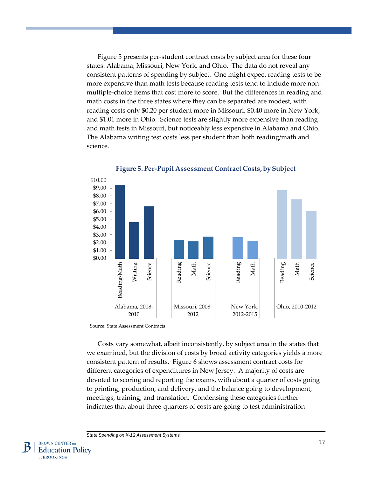Figure 5 presents per-student contract costs by subject area for these four states: Alabama, Missouri, New York, and Ohio. The data do not reveal any consistent patterns of spending by subject. One might expect reading tests to be more expensive than math tests because reading tests tend to include more nonmultiple-choice items that cost more to score. But the differences in reading and math costs in the three states where they can be separated are modest, with reading costs only \$0.20 per student more in Missouri, \$0.40 more in New York, and \$1.01 more in Ohio. Science tests are slightly more expensive than reading and math tests in Missouri, but noticeably less expensive in Alabama and Ohio. The Alabama writing test costs less per student than both reading/math and science.





Source: State Assessment Contracts

Costs vary somewhat, albeit inconsistently, by subject area in the states that we examined, but the division of costs by broad activity categories yields a more consistent pattern of results. Figure 6 shows assessment contract costs for different categories of expenditures in New Jersey. A majority of costs are devoted to scoring and reporting the exams, with about a quarter of costs going to printing, production, and delivery, and the balance going to development, meetings, training, and translation. Condensing these categories further indicates that about three-quarters of costs are going to test administration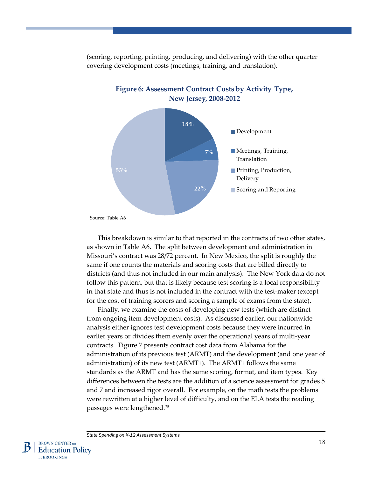

(scoring, reporting, printing, producing, and delivering) with the other quarter covering development costs (meetings, training, and translation).

**Figure 6: Assessment Contract Costs by Activity Type,** 

This breakdown is similar to that reported in the contracts of two other states, as shown in Table A6. The split between development and administration in Missouri's contract was 28/72 percent. In New Mexico, the split is roughly the same if one counts the materials and scoring costs that are billed directly to districts (and thus not included in our main analysis). The New York data do not follow this pattern, but that is likely because test scoring is a local responsibility in that state and thus is not included in the contract with the test-maker (except for the cost of training scorers and scoring a sample of exams from the state).

Finally, we examine the costs of developing new tests (which are distinct from ongoing item development costs). As discussed earlier, our nationwide analysis either ignores test development costs because they were incurred in earlier years or divides them evenly over the operational years of multi-year contracts. Figure 7 presents contract cost data from Alabama for the administration of its previous test (ARMT) and the development (and one year of administration) of its new test (ARMT+). The ARMT+ follows the same standards as the ARMT and has the same scoring, format, and item types. Key differences between the tests are the addition of a science assessment for grades 5 and 7 and increased rigor overall. For example, on the math tests the problems were rewritten at a higher level of difficulty, and on the ELA tests the reading passages were lengthened.[25](#page--1-7)

Source: Table A6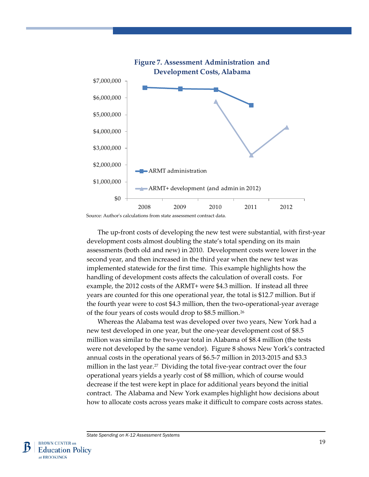

The up-front costs of developing the new test were substantial, with first-year development costs almost doubling the state's total spending on its main assessments (both old and new) in 2010. Development costs were lower in the second year, and then increased in the third year when the new test was implemented statewide for the first time. This example highlights how the handling of development costs affects the calculation of overall costs. For example, the 2012 costs of the ARMT+ were \$4.3 million. If instead all three years are counted for this one operational year, the total is \$12.7 million. But if the fourth year were to cost \$4.3 million, then the two-operational-year average of the four years of costs would drop to \$8.5 million.[26](#page--1-8)

Whereas the Alabama test was developed over two years, New York had a new test developed in one year, but the one-year development cost of \$8.5 million was similar to the two-year total in Alabama of \$8.4 million (the tests were not developed by the same vendor). Figure 8 shows New York's contracted annual costs in the operational years of \$6.5-7 million in 2013-2015 and \$3.3 million in the last year.<sup>27</sup> Dividing the total five-year contract over the four operational years yields a yearly cost of \$8 million, which of course would decrease if the test were kept in place for additional years beyond the initial contract. The Alabama and New York examples highlight how decisions about how to allocate costs across years make it difficult to compare costs across states.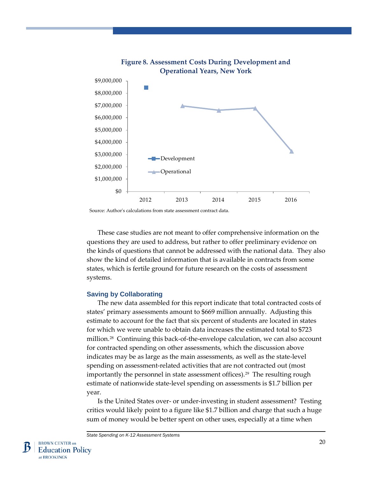

**Figure 8. Assessment Costs During Development and** 

Source: Author's calculations from state assessment contract data.

These case studies are not meant to offer comprehensive information on the questions they are used to address, but rather to offer preliminary evidence on the kinds of questions that cannot be addressed with the national data. They also show the kind of detailed information that is available in contracts from some states, which is fertile ground for future research on the costs of assessment systems.

#### **Saving by Collaborating**

The new data assembled for this report indicate that total contracted costs of states' primary assessments amount to \$669 million annually. Adjusting this estimate to account for the fact that six percent of students are located in states for which we were unable to obtain data increases the estimated total to \$723 million.[28](#page--1-10) Continuing this back-of-the-envelope calculation, we can also account for contracted spending on other assessments, which the discussion above indicates may be as large as the main assessments, as well as the state-level spending on assessment-related activities that are not contracted out (most importantly the personnel in state assessment offices).<sup>29</sup> The resulting rough estimate of nationwide state-level spending on assessments is \$1.7 billion per year.

Is the United States over- or under-investing in student assessment? Testing critics would likely point to a figure like \$1.7 billion and charge that such a huge sum of money would be better spent on other uses, especially at a time when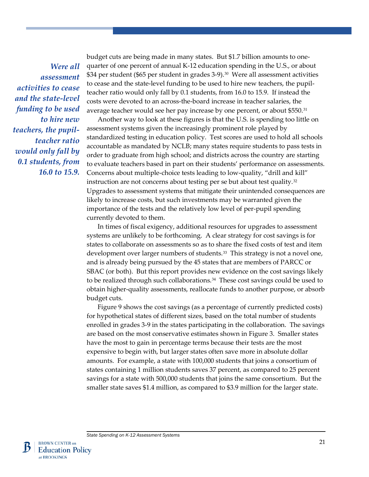*Were all assessment activities to cease and the state-level funding to be used to hire new teachers, the pupilteacher ratio would only fall by 0.1 students, from 16.0 to 15.9.*

budget cuts are being made in many states. But \$1.7 billion amounts to onequarter of one percent of annual K-12 education spending in the U.S., or about \$34 per student (\$65 per student in grades 3-9).<sup>[30](#page--1-12)</sup> Were all assessment activities to cease and the state-level funding to be used to hire new teachers, the pupilteacher ratio would only fall by 0.1 students, from 16.0 to 15.9. If instead the costs were devoted to an across-the-board increase in teacher salaries, the average teacher would see her pay increase by one percent, or about \$550.<sup>[31](#page--1-13)</sup>

Another way to look at these figures is that the U.S. is spending too little on assessment systems given the increasingly prominent role played by standardized testing in education policy. Test scores are used to hold all schools accountable as mandated by NCLB; many states require students to pass tests in order to graduate from high school; and districts across the country are starting to evaluate teachers based in part on their students' performance on assessments. Concerns about multiple-choice tests leading to low-quality, "drill and kill" instruction are not concerns about testing per se but about test quality.<sup>[32](#page--1-14)</sup> Upgrades to assessment systems that mitigate their unintended consequences are likely to increase costs, but such investments may be warranted given the importance of the tests and the relatively low level of per-pupil spending currently devoted to them.

In times of fiscal exigency, additional resources for upgrades to assessment systems are unlikely to be forthcoming. A clear strategy for cost savings is for states to collaborate on assessments so as to share the fixed costs of test and item development over larger numbers of students.[33](#page--1-15) This strategy is not a novel one, and is already being pursued by the 45 states that are members of PARCC or SBAC (or both). But this report provides new evidence on the cost savings likely to be realized through such collaborations.<sup>[34](#page--1-16)</sup> These cost savings could be used to obtain higher-quality assessments, reallocate funds to another purpose, or absorb budget cuts.

Figure 9 shows the cost savings (as a percentage of currently predicted costs) for hypothetical states of different sizes, based on the total number of students enrolled in grades 3-9 in the states participating in the collaboration. The savings are based on the most conservative estimates shown in Figure 3. Smaller states have the most to gain in percentage terms because their tests are the most expensive to begin with, but larger states often save more in absolute dollar amounts. For example, a state with 100,000 students that joins a consortium of states containing 1 million students saves 37 percent, as compared to 25 percent savings for a state with 500,000 students that joins the same consortium. But the smaller state saves \$1.4 million, as compared to \$3.9 million for the larger state.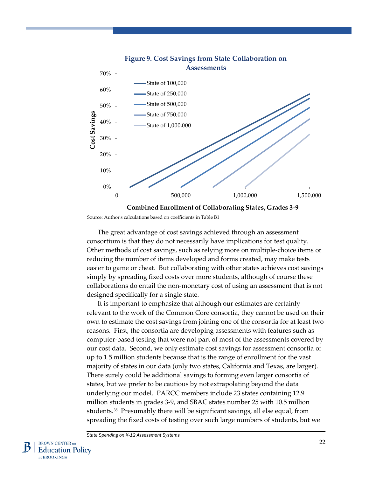

Source: Author's calculations based on coefficients in Table B1

The great advantage of cost savings achieved through an assessment consortium is that they do not necessarily have implications for test quality. Other methods of cost savings, such as relying more on multiple-choice items or reducing the number of items developed and forms created, may make tests easier to game or cheat. But collaborating with other states achieves cost savings simply by spreading fixed costs over more students, although of course these collaborations do entail the non-monetary cost of using an assessment that is not designed specifically for a single state.

It is important to emphasize that although our estimates are certainly relevant to the work of the Common Core consortia, they cannot be used on their own to estimate the cost savings from joining one of the consortia for at least two reasons. First, the consortia are developing assessments with features such as computer-based testing that were not part of most of the assessments covered by our cost data. Second, we only estimate cost savings for assessment consortia of up to 1.5 million students because that is the range of enrollment for the vast majority of states in our data (only two states, California and Texas, are larger). There surely could be additional savings to forming even larger consortia of states, but we prefer to be cautious by not extrapolating beyond the data underlying our model. PARCC members include 23 states containing 12.9 million students in grades 3-9, and SBAC states number 25 with 10.5 million students.[35](#page--1-17) Presumably there will be significant savings, all else equal, from spreading the fixed costs of testing over such large numbers of students, but we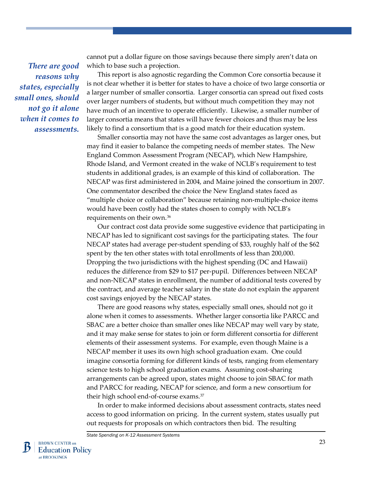*There are good reasons why states, especially small ones, should not go it alone when it comes to assessments.* cannot put a dollar figure on those savings because there simply aren't data on which to base such a projection.

This report is also agnostic regarding the Common Core consortia because it is not clear whether it is better for states to have a choice of two large consortia or a larger number of smaller consortia. Larger consortia can spread out fixed costs over larger numbers of students, but without much competition they may not have much of an incentive to operate efficiently. Likewise, a smaller number of larger consortia means that states will have fewer choices and thus may be less likely to find a consortium that is a good match for their education system.

Smaller consortia may not have the same cost advantages as larger ones, but may find it easier to balance the competing needs of member states. The New England Common Assessment Program (NECAP), which New Hampshire, Rhode Island, and Vermont created in the wake of NCLB's requirement to test students in additional grades, is an example of this kind of collaboration. The NECAP was first administered in 2004, and Maine joined the consortium in 2007. One commentator described the choice the New England states faced as "multiple choice or collaboration" because retaining non-multiple-choice items would have been costly had the states chosen to comply with NCLB's requirements on their own.[36](#page--1-18)

Our contract cost data provide some suggestive evidence that participating in NECAP has led to significant cost savings for the participating states. The four NECAP states had average per-student spending of \$33, roughly half of the \$62 spent by the ten other states with total enrollments of less than 200,000. Dropping the two jurisdictions with the highest spending (DC and Hawaii) reduces the difference from \$29 to \$17 per-pupil. Differences between NECAP and non-NECAP states in enrollment, the number of additional tests covered by the contract, and average teacher salary in the state do not explain the apparent cost savings enjoyed by the NECAP states.

There are good reasons why states, especially small ones, should not go it alone when it comes to assessments. Whether larger consortia like PARCC and SBAC are a better choice than smaller ones like NECAP may well vary by state, and it may make sense for states to join or form different consortia for different elements of their assessment systems. For example, even though Maine is a NECAP member it uses its own high school graduation exam. One could imagine consortia forming for different kinds of tests, ranging from elementary science tests to high school graduation exams. Assuming cost-sharing arrangements can be agreed upon, states might choose to join SBAC for math and PARCC for reading, NECAP for science, and form a new consortium for their high school end-of-course exams[.37](#page--1-8)

In order to make informed decisions about assessment contracts, states need access to good information on pricing. In the current system, states usually put out requests for proposals on which contractors then bid. The resulting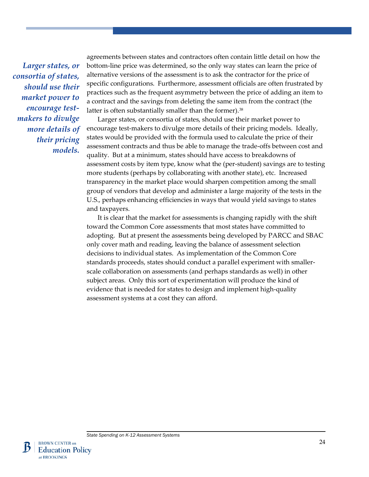*Larger states, or consortia of states, should use their market power to encourage testmakers to divulge more details of their pricing models.* 

agreements between states and contractors often contain little detail on how the bottom-line price was determined, so the only way states can learn the price of alternative versions of the assessment is to ask the contractor for the price of specific configurations. Furthermore, assessment officials are often frustrated by practices such as the frequent asymmetry between the price of adding an item to a contract and the savings from deleting the same item from the contract (the latter is often substantially smaller than the former).<sup>[38](#page--1-19)</sup>

Larger states, or consortia of states, should use their market power to encourage test-makers to divulge more details of their pricing models. Ideally, states would be provided with the formula used to calculate the price of their assessment contracts and thus be able to manage the trade-offs between cost and quality. But at a minimum, states should have access to breakdowns of assessment costs by item type, know what the (per-student) savings are to testing more students (perhaps by collaborating with another state), etc. Increased transparency in the market place would sharpen competition among the small group of vendors that develop and administer a large majority of the tests in the U.S., perhaps enhancing efficiencies in ways that would yield savings to states and taxpayers.

It is clear that the market for assessments is changing rapidly with the shift toward the Common Core assessments that most states have committed to adopting. But at present the assessments being developed by PARCC and SBAC only cover math and reading, leaving the balance of assessment selection decisions to individual states. As implementation of the Common Core standards proceeds, states should conduct a parallel experiment with smallerscale collaboration on assessments (and perhaps standards as well) in other subject areas. Only this sort of experimentation will produce the kind of evidence that is needed for states to design and implement high-quality assessment systems at a cost they can afford.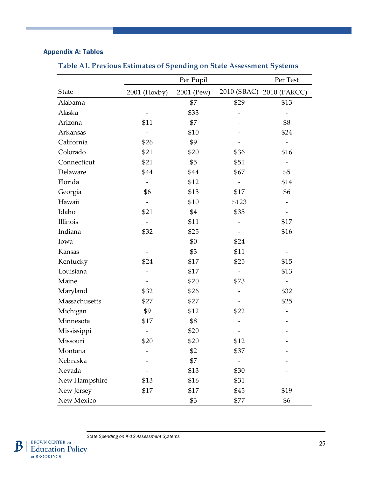# Appendix A: Tables

|               |              | Per Test   |                          |                          |
|---------------|--------------|------------|--------------------------|--------------------------|
| State         | 2001 (Hoxby) | 2001 (Pew) |                          | 2010 (SBAC) 2010 (PARCC) |
| Alabama       |              | \$7        | \$29                     | \$13                     |
| Alaska        |              | \$33       |                          |                          |
| Arizona       | \$11         | \$7        |                          | \$8                      |
| Arkansas      |              | \$10       |                          | \$24                     |
| California    | \$26         | \$9        |                          |                          |
| Colorado      | \$21         | \$20       | \$36                     | \$16                     |
| Connecticut   | \$21         | \$5        | \$51                     | $\qquad \qquad -$        |
| Delaware      | \$44         | \$44       | \$67                     | \$5                      |
| Florida       |              | \$12       | $\overline{\phantom{0}}$ | \$14                     |
| Georgia       | \$6          | \$13       | \$17                     | \$6                      |
| Hawaii        |              | \$10       | \$123                    | -                        |
| Idaho         | \$21         | \$4        | \$35                     |                          |
| Illinois      |              | \$11       |                          | \$17                     |
| Indiana       | \$32         | \$25       |                          | \$16                     |
| Iowa          |              | \$0        | \$24                     |                          |
| Kansas        |              | \$3        | \$11                     |                          |
| Kentucky      | \$24         | \$17       | \$25                     | \$15                     |
| Louisiana     |              | \$17       |                          | \$13                     |
| Maine         |              | \$20       | \$73                     |                          |
| Maryland      | \$32         | \$26       |                          | \$32                     |
| Massachusetts | \$27         | \$27       |                          | \$25                     |
| Michigan      | \$9          | \$12       | \$22                     |                          |
| Minnesota     | \$17         | \$8        |                          |                          |
| Mississippi   |              | \$20       |                          |                          |
| Missouri      | \$20         | \$20       | \$12                     |                          |
| Montana       |              | \$2        | \$37                     |                          |
| Nebraska      |              | \$7        |                          |                          |
| Nevada        |              | \$13       | \$30                     |                          |
| New Hampshire | \$13         | \$16       | \$31                     |                          |
| New Jersey    | \$17         | \$17       | \$45                     | \$19                     |
| New Mexico    |              | \$3        | \$77                     | \$6                      |

# **Table A1. Previous Estimates of Spending on State Assessment Systems**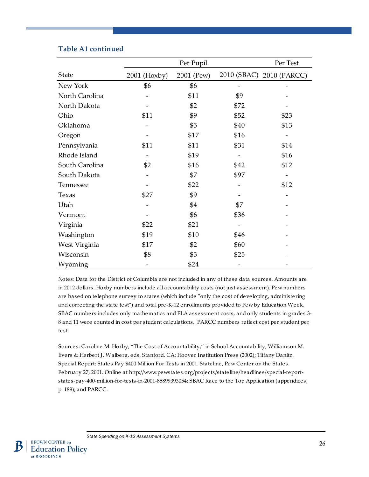|                | Per Pupil      |            |      | Per Test                 |  |  |
|----------------|----------------|------------|------|--------------------------|--|--|
| State          | $2001$ (Hoxby) | 2001 (Pew) |      | 2010 (SBAC) 2010 (PARCC) |  |  |
| New York       | \$6            | \$6        |      |                          |  |  |
| North Carolina |                | \$11       | \$9  |                          |  |  |
| North Dakota   |                | \$2        | \$72 |                          |  |  |
| Ohio           | \$11           | \$9        | \$52 | \$23                     |  |  |
| Oklahoma       |                | \$5        | \$40 | \$13                     |  |  |
| Oregon         |                | \$17       | \$16 |                          |  |  |
| Pennsylvania   | \$11           | \$11       | \$31 | \$14                     |  |  |
| Rhode Island   |                | \$19       |      | \$16                     |  |  |
| South Carolina | \$2            | \$16       | \$42 | \$12                     |  |  |
| South Dakota   |                | \$7        | \$97 |                          |  |  |
| Tennessee      |                | \$22       |      | \$12                     |  |  |
| Texas          | \$27           | \$9        |      |                          |  |  |
| Utah           |                | \$4        | \$7  |                          |  |  |
| Vermont        |                | \$6        | \$36 |                          |  |  |
| Virginia       | \$22           | \$21       |      |                          |  |  |
| Washington     | \$19           | \$10       | \$46 |                          |  |  |
| West Virginia  | \$17           | \$2        | \$60 |                          |  |  |
| Wisconsin      | \$8            | \$3        | \$25 |                          |  |  |
| Wyoming        |                | \$24       |      |                          |  |  |

# **Table A1 continued**

Notes: Data for the District of Columbia are not included in any of these data sources. Amounts are in 2012 dollars. Hoxby numbers include all accountability costs (not just assessment). Pew numbers are based on telephone survey to states (which include "only the cost of developing, administering and correcting the state test") and total pre-K-12 enrollments provided to Pew by Education Week. SBAC numbers includes only mathematics and ELA assessment costs, and only students in grades 3- 8 and 11 were counted in cost per student calculations. PARCC numbers reflect cost per student per test.

Sources: Caroline M. Hoxby, "The Cost of Accountability," in School Accountability, Williamson M. Evers & Herbert J. Walberg, eds. Stanford, CA: Hoover Institution Press (2002); Tiffany Danitz. Special Report: States Pay \$400 Million For Tests in 2001. Stateline, Pew Center on the States. February 27, 2001. Online at http://www.pewstates.org/projects/stateline/headlines/special-reportstates-pay-400-million-for-tests-in-2001-85899393054; SBAC Race to the Top Application (appendices, p. 189); and PARCC.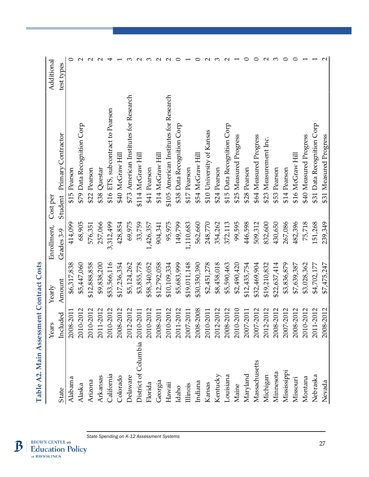| <b>Tapie A2. Main Assessineur Contract Pass</b> |           |              |             |                   |                                        |            |
|-------------------------------------------------|-----------|--------------|-------------|-------------------|----------------------------------------|------------|
|                                                 | Years     | Yearly       | Enrollment, | Cost per          |                                        | Additional |
| <b>State</b>                                    | Included  | Amount       | Grades 3-9  |                   | Student Primary Contractor             | test types |
| Alabama                                         | 2008-2011 | \$6,317,838  | 414,099     | \$15 Pearson      |                                        |            |
| Alaska                                          | 2010-2012 | \$5,447,060  | 68,905      |                   | \$79 Data Recognition Corp             |            |
| Arizona                                         | 2010-2012 | \$12,888,858 | 576,351     | \$22 Pearson      |                                        |            |
| Arkansas                                        | 2011-2012 | \$9,838,200  | 257,066     | \$38 Questar      |                                        |            |
| California                                      | 2010-2012 | \$53,566,116 | 3,312,499   |                   | \$16 ETS, subcontract to Pearson       |            |
| Colorado                                        | 2008-2012 | \$17,236,354 | 428,854     |                   | \$40 McGraw Hill                       |            |
| Delaware                                        | 2012-2012 | \$5,124,262  | 69,975      |                   | \$73 American Institutes for Research  |            |
| District of Columbia                            | 2010-2011 | \$3,855,778  | 33,759      | \$114 McGraw Hill |                                        |            |
| Florida                                         | 2010-2012 | \$58,340,052 | 1,426,357   | \$41 Pearson      |                                        |            |
| Georgia                                         | 2008-2011 | \$12,792,058 | 904,341     |                   | \$14 McGraw Hill                       |            |
| Hawaii                                          | 2010-2012 | \$10,109,334 | 95,975      |                   | \$105 American Institutes for Research |            |
| Idaho                                           | 2011-2012 | \$5,683,999  | 149,799     |                   | \$38 Data Recognition Corp             |            |
| Illinois                                        | 2007-2011 | \$19,011,148 | 1,110,683   | \$17 Pearson      |                                        |            |
| Indiana                                         | 2008-2008 | \$30,350,390 | 562,660     |                   | \$54 McGraw Hill                       |            |
| Kansas                                          | 2010-2011 | \$2,451,278  | 248,770     |                   | \$10 University of Kansas              |            |
| Kentucky                                        | 2012-2012 | \$8,458,018  | 354,262     | \$24 Pearson      |                                        |            |
| Louisiana                                       | 2008-2012 | \$5,590,463  | 372,113     |                   | \$15 Data Recognition Corp             |            |
| Maine                                           | 2010-2010 | \$2,490,420  | 99,595      |                   | \$25 Measured Progress                 |            |
| Maryland                                        | 2007-2011 | \$12,435,754 | 446,598     | \$28 Pearson      |                                        |            |
| Massachusetts                                   | 2007-2012 | \$32,469,904 | 509,312     |                   | \$64 Measured Progress                 |            |
| Michigan                                        | 2012-2012 | \$19,210,832 | 832,600     |                   | \$23 Measurement Inc.                  |            |
| Minnesota                                       | 2008-2012 | \$22,637,414 | 430,650     | \$53 Pearson      |                                        |            |
| Mississippi                                     | 2007-2012 | \$3,836,879  | 267,086     | \$14 Pearson      |                                        |            |
| Missouri                                        | 2008-2012 | \$7,639,387  | 482,396     |                   | \$16 McGraw Hill                       |            |
| Montana                                         | 2010-2012 | \$3,028,362  | 75,718      |                   | \$40 Measured Progress                 |            |
| Nebraska                                        | 2011-2012 | \$4,702,177  | 151,268     |                   | \$31 Data Recognition Corp             |            |
| Nevada                                          | 2008-2012 | \$7,475,247  | 239,349     |                   | \$31 Measured Progress                 |            |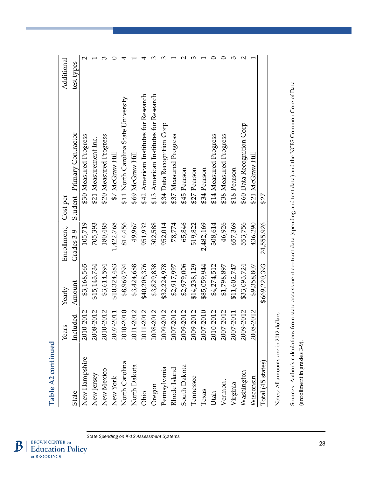|                   | Years     | Yearly        | Enrollment, Cost per |                                       | Additional |
|-------------------|-----------|---------------|----------------------|---------------------------------------|------------|
| <b>State</b>      | Included  | Amount        | Grades 3-9           | Student Primary Contractor            | test types |
| New Hampshire     | 2010-2012 | \$3,168,565   | 105,719              | \$30 Measured Progress                |            |
| New Jersey        | 2008-2012 | \$15,143,734  | 705,393              | \$21 Measurement Inc.                 |            |
| <b>New Mexico</b> | 2010-2012 | \$3,614,594   | 180,485              | \$20 Measured Progress                |            |
| New York          | 2007-2011 | \$10,324,483  | 1,422,768            | \$7 McGraw Hill                       |            |
| North Carolina    | 2010-2010 | \$8,969,794   | 814,456              | \$11 North Carolina State University  |            |
| North Dakota      | 2011-2012 | \$3,424,688   | 49,967               | \$69 McGraw Hill                      |            |
| Ohio              | 2011-2012 | \$40,208,376  | 951,932              | \$42 American Institutes for Research |            |
| Oregon            | 2008-2012 | \$3,829,838   | 302,588              | \$13 American Institutes for Research |            |
| Pennsylvania      | 2009-2012 | \$32,224,978  | 952,014              | \$34 Data Recognition Corp            |            |
| Rhode Island      | 2007-2012 | \$2,917,997   | 78,774               | \$37 Measured Progress                |            |
| South Dakota      | 2009-2012 | \$2,979,006   | 65,846               | \$45 Pearson                          |            |
| Tennessee         | 2009-2012 | \$14,238,129  | 519,822              | \$27 Pearson                          |            |
| $T$ exas          | 2007-2010 | \$85,059,944  | 2,482,169            | \$34 Pearson                          |            |
| Utah              | 2010-2012 | \$4,274,512   | 308,614              | \$14 Measured Progress                |            |
| Vermont           | 2007-2012 | \$1,798,897   | 46,926               | \$38 Measured Progress                |            |
| Virginia          | 2007-2011 | \$11,602,747  | 657,369              | \$18 Pearson                          |            |
| Washington        | 2009-2012 | \$33,093,724  | 553,756              | \$60 Data Recognition Corp            |            |
| Wisconsin         | 2008-2012 | \$9,358,807   | 436,290              | \$21 McGraw Hill                      |            |
| Total (45 states) |           | \$669,220,393 | 24,555,926           | \$27                                  |            |
|                   |           |               |                      |                                       |            |

Notes: All amounts are in 2012 dollars. Notes: All amounts are in 2012 dollars.

Sources: Author's calculations from state assessment contract data (spending and test data) and the NCES Common Core of Data Sources: Author's calculations from state assessment contract data (spending and test data) and the NCES Common Core of Data (enrollment in grades 3-9). (enrollment in grades 3-9).

**Table A2 continued**

Table A2 continued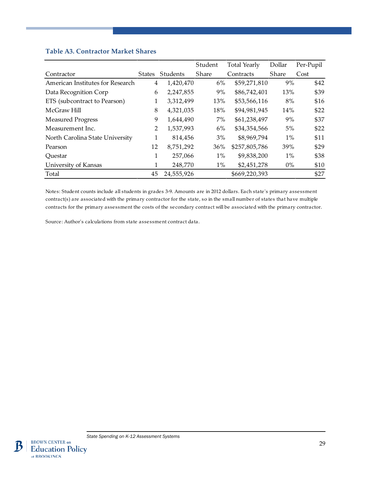### **Table A3. Contractor Market Shares**

|                                  |                |            | Student      | <b>Total Yearly</b> | Dollar | Per-Pupil |
|----------------------------------|----------------|------------|--------------|---------------------|--------|-----------|
| Contractor                       | <b>States</b>  | Students   | <b>Share</b> | Contracts           | Share  | Cost      |
| American Institutes for Research | 4              | 1,420,470  | 6%           | \$59,271,810        | 9%     | \$42      |
| Data Recognition Corp            | 6              | 2,247,855  | 9%           | \$86,742,401        | 13%    | \$39      |
| ETS (subcontract to Pearson)     | 1              | 3,312,499  | 13%          | \$53,566,116        | 8%     | \$16      |
| McGraw Hill                      | 8              | 4,321,035  | 18%          | \$94,981,945        | 14%    | \$22      |
| <b>Measured Progress</b>         | 9              | 1,644,490  | $7\%$        | \$61,238,497        | 9%     | \$37      |
| Measurement Inc.                 | $\overline{2}$ | 1,537,993  | $6\%$        | \$34,354,566        | 5%     | \$22      |
| North Carolina State University  | 1              | 814,456    | 3%           | \$8,969,794         | $1\%$  | \$11      |
| Pearson                          | 12             | 8,751,292  | 36%          | \$257,805,786       | 39%    | \$29      |
| Ouestar                          | 1              | 257,066    | $1\%$        | \$9,838,200         | $1\%$  | \$38      |
| University of Kansas             | 1              | 248,770    | $1\%$        | \$2,451,278         | $0\%$  | \$10      |
| Total                            | 45             | 24,555,926 |              | \$669,220,393       |        | \$27      |

Notes: Student counts include all students in grades 3-9. Amounts are in 2012 dollars. Each state's primary assessment contract(s) are associated with the primary contractor for the state, so in the small number of states that have multiple contracts for the primary assessment the costs of the secondary contract will be associated with the primary contractor.

Source: Author's calculations from state assessment contract data.

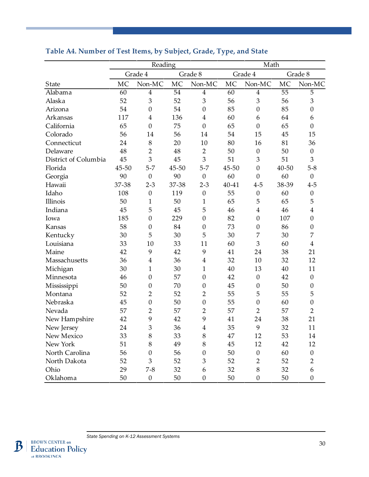|                      |       | Reading          |       |                  |       | Math             |       |                  |  |  |
|----------------------|-------|------------------|-------|------------------|-------|------------------|-------|------------------|--|--|
|                      |       | Grade 4          |       | Grade 8          |       | Grade 4          |       | Grade 8          |  |  |
| State                | MC    | Non-MC           | MC    | Non-MC           | MC    | Non-MC           | MC    | Non-MC           |  |  |
| Alabama              | 60    | $\boldsymbol{4}$ | 54    | $\overline{4}$   | 60    | $\overline{4}$   | 55    | $\overline{5}$   |  |  |
| Alaska               | 52    | 3                | 52    | $\mathfrak{Z}$   | 56    | 3                | 56    | 3                |  |  |
| Arizona              | 54    | $\boldsymbol{0}$ | 54    | $\boldsymbol{0}$ | 85    | $\boldsymbol{0}$ | 85    | $\boldsymbol{0}$ |  |  |
| Arkansas             | 117   | $\overline{4}$   | 136   | $\overline{4}$   | 60    | 6                | 64    | 6                |  |  |
| California           | 65    | $\boldsymbol{0}$ | 75    | $\boldsymbol{0}$ | 65    | $\boldsymbol{0}$ | 65    | $\boldsymbol{0}$ |  |  |
| Colorado             | 56    | 14               | 56    | 14               | 54    | 15               | 45    | 15               |  |  |
| Connecticut          | 24    | 8                | 20    | 10               | 80    | 16               | 81    | 36               |  |  |
| Delaware             | 48    | $\overline{2}$   | 48    | $\overline{2}$   | 50    | $\boldsymbol{0}$ | 50    | $\boldsymbol{0}$ |  |  |
| District of Columbia | 45    | 3                | 45    | 3                | 51    | 3                | 51    | 3                |  |  |
| Florida              | 45-50 | $5 - 7$          | 45-50 | $5 - 7$          | 45-50 | $\boldsymbol{0}$ | 40-50 | $5 - 8$          |  |  |
| Georgia              | 90    | $\boldsymbol{0}$ | 90    | $\boldsymbol{0}$ | 60    | $\theta$         | 60    | $\boldsymbol{0}$ |  |  |
| Hawaii               | 37-38 | $2 - 3$          | 37-38 | $2 - 3$          | 40-41 | $4 - 5$          | 38-39 | $4 - 5$          |  |  |
| Idaho                | 108   | $\boldsymbol{0}$ | 119   | $\boldsymbol{0}$ | 55    | $\boldsymbol{0}$ | 60    | $\boldsymbol{0}$ |  |  |
| Illinois             | 50    | 1                | 50    | 1                | 65    | 5                | 65    | 5                |  |  |
| Indiana              | 45    | 5                | 45    | 5                | 46    | $\boldsymbol{4}$ | 46    | $\overline{4}$   |  |  |
| Iowa                 | 185   | $\boldsymbol{0}$ | 229   | $\boldsymbol{0}$ | 82    | $\boldsymbol{0}$ | 107   | $\boldsymbol{0}$ |  |  |
| Kansas               | 58    | $\boldsymbol{0}$ | 84    | $\boldsymbol{0}$ | 73    | $\boldsymbol{0}$ | 86    | $\boldsymbol{0}$ |  |  |
| Kentucky             | 30    | 5                | 30    | 5                | 30    | 7                | 30    | 7                |  |  |
| Louisiana            | 33    | 10               | 33    | 11               | 60    | 3                | 60    | $\overline{4}$   |  |  |
| Maine                | 42    | 9                | 42    | 9                | 41    | 24               | 38    | 21               |  |  |
| Massachusetts        | 36    | $\overline{4}$   | 36    | $\overline{4}$   | 32    | 10               | 32    | 12               |  |  |
| Michigan             | 30    | $\mathbf{1}$     | 30    | $\mathbf{1}$     | 40    | 13               | 40    | 11               |  |  |
| Minnesota            | 46    | $\boldsymbol{0}$ | 57    | $\boldsymbol{0}$ | 42    | $\theta$         | 42    | $\boldsymbol{0}$ |  |  |
| Mississippi          | 50    | $\boldsymbol{0}$ | 70    | $\mathbf{0}$     | 45    | $\boldsymbol{0}$ | 50    | $\mathbf{0}$     |  |  |
| Montana              | 52    | $\overline{2}$   | 52    | $\overline{2}$   | 55    | 5                | 55    | 5                |  |  |
| Nebraska             | 45    | $\boldsymbol{0}$ | 50    | $\boldsymbol{0}$ | 55    | $\mathbf{0}$     | 60    | $\boldsymbol{0}$ |  |  |
| Nevada               | 57    | $\overline{c}$   | 57    | $\overline{2}$   | 57    | $\overline{2}$   | 57    | $\overline{2}$   |  |  |
| New Hampshire        | 42    | 9                | 42    | 9                | 41    | 24               | 38    | 21               |  |  |
| New Jersey           | 24    | 3                | 36    | 4                | 35    | 9                | 32    | 11               |  |  |
| New Mexico           | 33    | 8                | 33    | 8                | 47    | 12               | 53    | 14               |  |  |
| New York             | 51    | 8                | 49    | 8                | 45    | 12               | 42    | 12               |  |  |
| North Carolina       | 56    | $\boldsymbol{0}$ | 56    | 0                | 50    | $\boldsymbol{0}$ | 60    | $\boldsymbol{0}$ |  |  |
| North Dakota         | 52    | 3                | 52    | 3                | 52    | $\overline{2}$   | 52    | $\overline{2}$   |  |  |
| Ohio                 | 29    | $7-8$            | 32    | 6                | 32    | 8                | 32    | 6                |  |  |
| Oklahoma             | 50    | $\boldsymbol{0}$ | 50    | $\boldsymbol{0}$ | 50    | $\boldsymbol{0}$ | 50    | $\boldsymbol{0}$ |  |  |

# **Table A4. Number of Test Items, by Subject, Grade, Type, and State**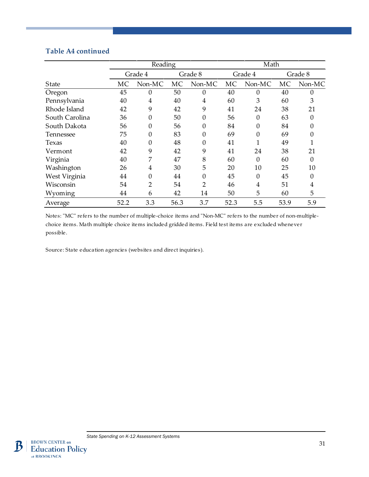# **Table A4 continued**

|                | Reading |                |      |                  |           | Math         |           |          |  |  |
|----------------|---------|----------------|------|------------------|-----------|--------------|-----------|----------|--|--|
|                | Grade 4 |                |      | Grade 8          |           | Grade 4      |           | Grade 8  |  |  |
| State          | MC      | Non-MC         | MC   | Non-MC           | <b>MC</b> | Non-MC       | <b>MC</b> | Non-MC   |  |  |
| Oregon         | 45      | 0              | 50   | $\theta$         | 40        | 0            | 40        |          |  |  |
| Pennsylvania   | 40      | 4              | 40   | 4                | 60        | 3            | 60        | 3        |  |  |
| Rhode Island   | 42      | 9              | 42   | 9                | 41        | 24           | 38        | 21       |  |  |
| South Carolina | 36      | 0              | 50   | $\theta$         | 56        | 0            | 63        |          |  |  |
| South Dakota   | 56      | 0              | 56   | $\boldsymbol{0}$ | 84        | 0            | 84        |          |  |  |
| Tennessee      | 75      | 0              | 83   | $\mathbf{0}$     | 69        | $\mathbf{0}$ | 69        |          |  |  |
| Texas          | 40      | 0              | 48   | $\mathbf{0}$     | 41        | 1            | 49        |          |  |  |
| Vermont        | 42      | 9              | 42   | 9                | 41        | 24           | 38        | 21       |  |  |
| Virginia       | 40      | 7              | 47   | 8                | 60        | 0            | 60        | $\Omega$ |  |  |
| Washington     | 26      | 4              | 30   | 5                | 20        | 10           | 25        | 10       |  |  |
| West Virginia  | 44      | 0              | 44   | $\boldsymbol{0}$ | 45        | 0            | 45        |          |  |  |
| Wisconsin      | 54      | $\overline{2}$ | 54   | 2                | 46        | 4            | 51        | 4        |  |  |
| Wyoming        | 44      | 6              | 42   | 14               | 50        | 5            | 60        | 5        |  |  |
| Average        | 52.2    | 3.3            | 56.3 | 3.7              | 52.3      | 5.5          | 53.9      | 5.9      |  |  |

Notes: "MC" refers to the number of multiple-choice items and "Non-MC" refers to the number of non-multiplechoice items. Math multiple choice items included gridded items. Field test items are excluded whenever possible.

Source: State education agencies (websites and direct inquiries).

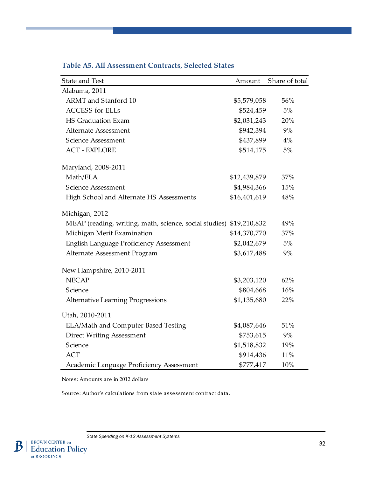| State and Test                                                      | Amount       | Share of total |
|---------------------------------------------------------------------|--------------|----------------|
| Alabama, 2011                                                       |              |                |
| ARMT and Stanford 10                                                | \$5,579,058  | 56%            |
| <b>ACCESS</b> for ELLs                                              | \$524,459    | 5%             |
| HS Graduation Exam                                                  | \$2,031,243  | 20%            |
| <b>Alternate Assessment</b>                                         | \$942,394    | 9%             |
| Science Assessment                                                  | \$437,899    | $4\%$          |
| <b>ACT - EXPLORE</b>                                                | \$514,175    | 5%             |
| Maryland, 2008-2011                                                 |              |                |
| Math/ELA                                                            | \$12,439,879 | 37%            |
| Science Assessment                                                  | \$4,984,366  | 15%            |
| High School and Alternate HS Assessments                            | \$16,401,619 | 48%            |
| Michigan, 2012                                                      |              |                |
| MEAP (reading, writing, math, science, social studies) \$19,210,832 |              | 49%            |
| Michigan Merit Examination                                          | \$14,370,770 | 37%            |
| English Language Proficiency Assessment                             | \$2,042,679  | 5%             |
| Alternate Assessment Program                                        | \$3,617,488  | 9%             |
| New Hampshire, 2010-2011                                            |              |                |
| <b>NECAP</b>                                                        | \$3,203,120  | 62%            |
| Science                                                             | \$804,668    | 16%            |
| <b>Alternative Learning Progressions</b>                            | \$1,135,680  | 22%            |
| Utah, 2010-2011                                                     |              |                |
| ELA/Math and Computer Based Testing                                 | \$4,087,646  | 51%            |
| <b>Direct Writing Assessment</b>                                    | \$753,615    | 9%             |
| Science                                                             | \$1,518,832  | 19%            |
| <b>ACT</b>                                                          | \$914,436    | 11%            |
| Academic Language Proficiency Assessment                            | \$777,417    | 10%            |

# **Table A5. All Assessment Contracts, Selected States**

Notes: Amounts are in 2012 dollars

Source: Author's calculations from state assessment contract data.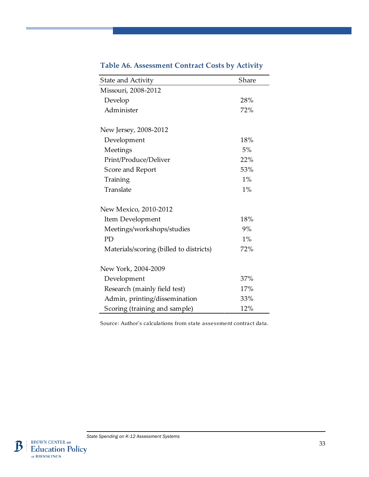| State and Activity                      | Share |
|-----------------------------------------|-------|
| Missouri, 2008-2012                     |       |
| Develop                                 | 28%   |
| Administer                              | 72%   |
| New Jersey, 2008-2012                   |       |
| Development                             | 18%   |
| Meetings                                | 5%    |
| Print/Produce/Deliver                   | 22%   |
| Score and Report                        | 53%   |
| Training                                | 1%    |
| Translate                               | 1%    |
| New Mexico, 2010-2012                   |       |
| Item Development                        | 18%   |
| Meetings/workshops/studies              | 9%    |
| PD                                      | 1%    |
| Materials/scoring (billed to districts) | 72%   |
| New York, 2004-2009                     |       |
| Development                             | 37%   |
| Research (mainly field test)            | 17%   |
| Admin, printing/dissemination           | 33%   |
| Scoring (training and sample)           | 12%   |

# **Table A6. Assessment Contract Costs by Activity**

Source: Author's calculations from state assessment contract data.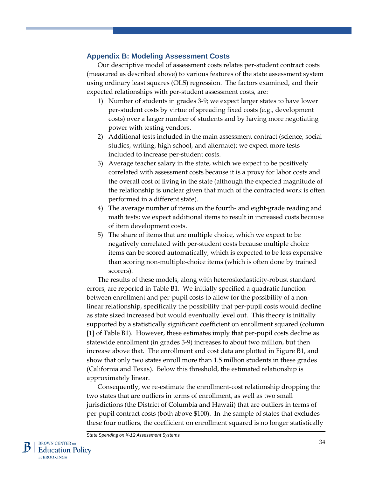# **Appendix B: Modeling Assessment Costs**

Our descriptive model of assessment costs relates per-student contract costs (measured as described above) to various features of the state assessment system using ordinary least squares (OLS) regression. The factors examined, and their expected relationships with per-student assessment costs, are:

- 1) Number of students in grades 3-9; we expect larger states to have lower per-student costs by virtue of spreading fixed costs (e.g., development costs) over a larger number of students and by having more negotiating power with testing vendors.
- 2) Additional tests included in the main assessment contract (science, social studies, writing, high school, and alternate); we expect more tests included to increase per-student costs.
- 3) Average teacher salary in the state, which we expect to be positively correlated with assessment costs because it is a proxy for labor costs and the overall cost of living in the state (although the expected magnitude of the relationship is unclear given that much of the contracted work is often performed in a different state).
- 4) The average number of items on the fourth- and eight-grade reading and math tests; we expect additional items to result in increased costs because of item development costs.
- 5) The share of items that are multiple choice, which we expect to be negatively correlated with per-student costs because multiple choice items can be scored automatically, which is expected to be less expensive than scoring non-multiple-choice items (which is often done by trained scorers).

The results of these models, along with heteroskedasticity-robust standard errors, are reported in Table B1. We initially specified a quadratic function between enrollment and per-pupil costs to allow for the possibility of a nonlinear relationship, specifically the possibility that per-pupil costs would decline as state sized increased but would eventually level out. This theory is initially supported by a statistically significant coefficient on enrollment squared (column [1] of Table B1). However, these estimates imply that per-pupil costs decline as statewide enrollment (in grades 3-9) increases to about two million, but then increase above that. The enrollment and cost data are plotted in Figure B1, and show that only two states enroll more than 1.5 million students in these grades (California and Texas). Below this threshold, the estimated relationship is approximately linear.

Consequently, we re-estimate the enrollment-cost relationship dropping the two states that are outliers in terms of enrollment, as well as two small jurisdictions (the District of Columbia and Hawaii) that are outliers in terms of per-pupil contract costs (both above \$100). In the sample of states that excludes these four outliers, the coefficient on enrollment squared is no longer statistically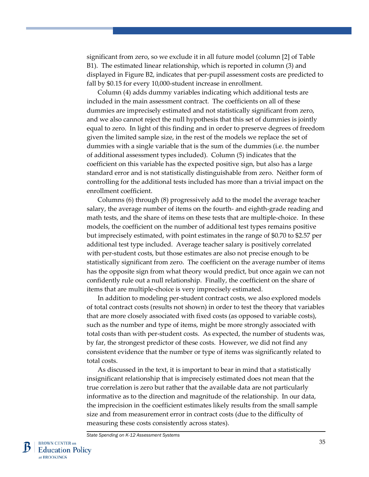significant from zero, so we exclude it in all future model (column [2] of Table B1). The estimated linear relationship, which is reported in column (3) and displayed in Figure B2, indicates that per-pupil assessment costs are predicted to fall by \$0.15 for every 10,000-student increase in enrollment.

Column (4) adds dummy variables indicating which additional tests are included in the main assessment contract. The coefficients on all of these dummies are imprecisely estimated and not statistically significant from zero, and we also cannot reject the null hypothesis that this set of dummies is jointly equal to zero. In light of this finding and in order to preserve degrees of freedom given the limited sample size, in the rest of the models we replace the set of dummies with a single variable that is the sum of the dummies (i.e. the number of additional assessment types included). Column (5) indicates that the coefficient on this variable has the expected positive sign, but also has a large standard error and is not statistically distinguishable from zero. Neither form of controlling for the additional tests included has more than a trivial impact on the enrollment coefficient.

Columns (6) through (8) progressively add to the model the average teacher salary, the average number of items on the fourth- and eighth-grade reading and math tests, and the share of items on these tests that are multiple-choice. In these models, the coefficient on the number of additional test types remains positive but imprecisely estimated, with point estimates in the range of \$0.70 to \$2.57 per additional test type included. Average teacher salary is positively correlated with per-student costs, but those estimates are also not precise enough to be statistically significant from zero. The coefficient on the average number of items has the opposite sign from what theory would predict, but once again we can not confidently rule out a null relationship. Finally, the coefficient on the share of items that are multiple-choice is very imprecisely estimated.

In addition to modeling per-student contract costs, we also explored models of total contract costs (results not shown) in order to test the theory that variables that are more closely associated with fixed costs (as opposed to variable costs), such as the number and type of items, might be more strongly associated with total costs than with per-student costs. As expected, the number of students was, by far, the strongest predictor of these costs. However, we did not find any consistent evidence that the number or type of items was significantly related to total costs.

As discussed in the text, it is important to bear in mind that a statistically insignificant relationship that is imprecisely estimated does not mean that the true correlation is zero but rather that the available data are not particularly informative as to the direction and magnitude of the relationship. In our data, the imprecision in the coefficient estimates likely results from the small sample size and from measurement error in contract costs (due to the difficulty of measuring these costs consistently across states).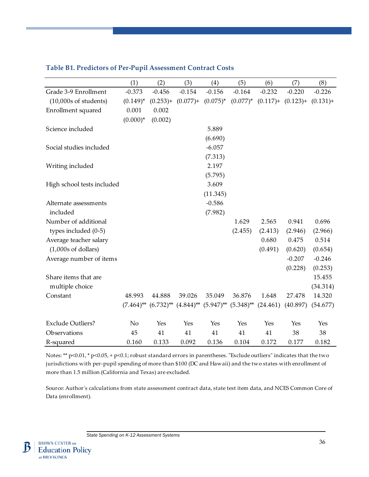|                            | (1)         | (2)         | (3)         | (4)                                                                                                                                | (5)      | (6)                                 | (7)      | (8)         |
|----------------------------|-------------|-------------|-------------|------------------------------------------------------------------------------------------------------------------------------------|----------|-------------------------------------|----------|-------------|
| Grade 3-9 Enrollment       | $-0.373$    | $-0.456$    | $-0.154$    | $-0.156$                                                                                                                           | $-0.164$ | $-0.232$                            | $-0.220$ | $-0.226$    |
| $(10,000s$ of students)    | $(0.149)^*$ | $(0.253) +$ | $(0.077) +$ | $(0.075)^*$                                                                                                                        |          | $(0.077)^*$ $(0.117)^+$ $(0.123)^+$ |          | $(0.131) +$ |
| Enrollment squared         | 0.001       | 0.002       |             |                                                                                                                                    |          |                                     |          |             |
|                            | $(0.000)*$  | (0.002)     |             |                                                                                                                                    |          |                                     |          |             |
| Science included           |             |             |             | 5.889                                                                                                                              |          |                                     |          |             |
|                            |             |             |             | (6.690)                                                                                                                            |          |                                     |          |             |
| Social studies included    |             |             |             | $-6.057$                                                                                                                           |          |                                     |          |             |
|                            |             |             |             | (7.313)                                                                                                                            |          |                                     |          |             |
| Writing included           |             |             |             | 2.197                                                                                                                              |          |                                     |          |             |
|                            |             |             |             | (5.795)                                                                                                                            |          |                                     |          |             |
| High school tests included |             |             |             | 3.609                                                                                                                              |          |                                     |          |             |
|                            |             |             |             | (11.345)                                                                                                                           |          |                                     |          |             |
| Alternate assessments      |             |             |             | $-0.586$                                                                                                                           |          |                                     |          |             |
| included                   |             |             |             | (7.982)                                                                                                                            |          |                                     |          |             |
| Number of additional       |             |             |             |                                                                                                                                    | 1.629    | 2.565                               | 0.941    | 0.696       |
| types included $(0-5)$     |             |             |             |                                                                                                                                    | (2.455)  | (2.413)                             | (2.946)  | (2.966)     |
| Average teacher salary     |             |             |             |                                                                                                                                    |          | 0.680                               | 0.475    | 0.514       |
| $(1,000s$ of dollars)      |             |             |             |                                                                                                                                    |          | (0.491)                             | (0.620)  | (0.654)     |
| Average number of items    |             |             |             |                                                                                                                                    |          |                                     | $-0.207$ | $-0.246$    |
|                            |             |             |             |                                                                                                                                    |          |                                     | (0.228)  | (0.253)     |
| Share items that are       |             |             |             |                                                                                                                                    |          |                                     |          | 15.455      |
| multiple choice            |             |             |             |                                                                                                                                    |          |                                     |          | (34.314)    |
| Constant                   | 48.993      | 44.888      | 39.026      | 35.049                                                                                                                             | 36.876   | 1.648                               | 27.478   | 14.320      |
|                            |             |             |             | $(7.464)$ <sup>**</sup> $(6.732)$ <sup>**</sup> $(4.844)$ <sup>**</sup> $(5.947)$ <sup>**</sup> $(5.348)$ <sup>**</sup> $(24.461)$ |          |                                     | (40.897) | (54.677)    |
| <b>Exclude Outliers?</b>   | No          | Yes         | Yes         | Yes                                                                                                                                | Yes      | Yes                                 | Yes      | Yes         |
| Observations               | 45          | 41          | 41          | 41                                                                                                                                 | 41       | 41                                  | 38       | 38          |
| R-squared                  | 0.160       | 0.133       | 0.092       | 0.136                                                                                                                              | 0.104    | 0.172                               | 0.177    | 0.182       |

## **Table B1. Predictors of Per-Pupil Assessment Contract Costs**

Notes: \*\* p<0.01, \* p<0.05, + p<0.1; robust standard errors in parentheses. "Exclude outliers" indicates that the two jurisdictions with per-pupil spending of more than \$100 (DC and Hawaii) and the two states with enrollment of more than 1.5 million (California and Texas) are excluded.

Source: Author's calculations from state assessment contract data, state test item data, and NCES Common Core of Data (enrollment).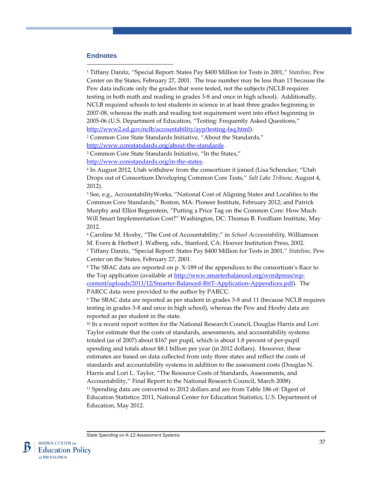#### <span id="page-37-0"></span>**Endnotes**

 $\overline{a}$ 

<sup>1</sup> Tiffany Danitz, "Special Report: States Pay \$400 Million for Tests in 2001," *Stateline,* Pew Center on the States, February 27, 2001. The true number may be less than 13 because the Pew data indicate only the grades that were tested, not the subjects (NCLB requires testing in both math and reading in grades 3-8 and once in high school). Additionally, NCLB required schools to test students in science in at least three grades beginning in 2007-08, whereas the math and reading test requirement went into effect beginning in 2005-06 (U.S. Department of Education, "Testing: Frequently Asked Questions," [http://www2.ed.gov/nclb/accountability/ayp/testing-faq.html\)](http://www2.ed.gov/nclb/accountability/ayp/testing-faq.html).

<sup>2</sup> Common Core State Standards Initiative, "About the Standards," <http://www.corestandards.org/about-the-standards> .

<sup>3</sup> Common Core State Standards Initiative, "In the States,"

[http://www.corestandards.org/in-the-states.](http://www.corestandards.org/in-the-states)

<sup>4</sup> In August 2012, Utah withdrew from the consortium it joined (Lisa Schencker, "Utah Drops out of Consortium Developing Common Core Tests," *Salt Lake Tribune,* August 4, 2012).

<sup>5</sup> See, e.g., AccountabilityWorks, "National Cost of Aligning States and Localities to the Common Core Standards," Boston, MA: Pioneer Institute, February 2012; and Patrick Murphy and Elliot Regenstein, "Putting a Price Tag on the Common Core: How Much Will Smart Implementation Cost?" Washington, DC: Thomas B. Fordham Institute, May 2012.

<sup>6</sup> Caroline M. Hoxby, "The Cost of Accountability," in *School Accountability,* Williamson M. Evers & Herbert J. Walberg, eds., Stanford, CA: Hoover Institution Press, 2002. <sup>7</sup> Tiffany Danitz, "Special Report: States Pay \$400 Million for Tests in 2001," *Stateline,* Pew Center on the States, February 27, 2001.

<sup>8</sup> The SBAC data are reported on p. X-189 of the appendices to the consortium's Race to the Top application (available at [http://www.smarterbalanced.org/wordpress/wp](http://www.smarterbalanced.org/wordpress/wp-content/uploads/2011/12/Smarter-Balanced-RttT-Application-Appendices.pdf)[content/uploads/2011/12/Smarter-Balanced-RttT-Application-Appendices.pdf\)](http://www.smarterbalanced.org/wordpress/wp-content/uploads/2011/12/Smarter-Balanced-RttT-Application-Appendices.pdf). The PARCC data were provided to the author by PARCC.

<sup>9</sup> The SBAC data are reported as per student in grades 3-8 and 11 (because NCLB requires testing in grades 3-8 and once in high school), whereas the Pew and Hoxby data are reported as per student in the state.

<sup>10</sup> In a recent report written for the National Research Council, Douglas Harris and Lori Taylor estimate that the costs of standards, assessments, and accountability systems totaled (as of 2007) about \$167 per pupil, which is about 1.8 percent of per-pupil spending and totals about \$8.1 billion per year (in 2012 dollars). However, these estimates are based on data collected from only three states and reflect the costs of standards and accountability systems in addition to the assessment costs (Douglas N. Harris and Lori L. Taylor, "The Resource Costs of Standards, Assessments, and Accountability," Final Report to the National Research Council, March 2008). <sup>11</sup> Spending data are converted to 2012 dollars and are from Table 186 of: Digest of Education Statistics: 2011, National Center for Education Statistics, U.S. Department of Education, May 2012.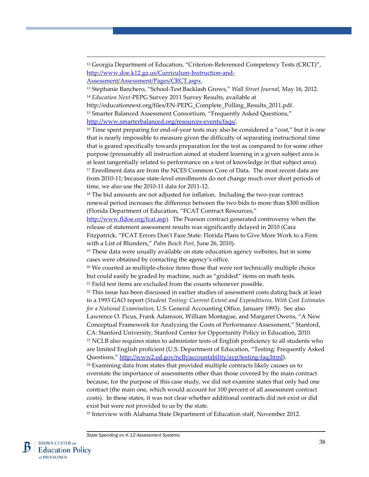<span id="page-38-0"></span><sup>12</sup> Georgia Department of Education, "Criterion-Referenced Competency Tests (CRCT)", [http://www.doe.k12.ga.us/Curriculum-Instruction-and-](http://www.doe.k12.ga.us/Curriculum-Instruction-and-Assessment/Assessment/Pages/CRCT.aspx)[Assessment/Assessment/Pages/CRCT.aspx.](http://www.doe.k12.ga.us/Curriculum-Instruction-and-Assessment/Assessment/Pages/CRCT.aspx)

<sup>13</sup> Stephanie Banchero, "School-Test Backlash Grows," *Wall Street Journal,* May 16, 2012. <sup>14</sup> *Education Next*-PEPG Survey 2011 Survey Results, available at

http://educationnext.org/files/EN-PEPG\_Complete\_Polling\_Results\_2011.pdf.

<sup>15</sup> Smarter Balanced Assessment Consortium, "Frequently Asked Questions," [http://www.smarterbalanced.org/resources-events/faqs/.](http://www.smarterbalanced.org/resources-events/faqs/) 

<sup>16</sup> Time spent preparing for end-of-year tests may also be considered a "cost," but it is one that is nearly impossible to measure given the difficulty of separating instructional time that is geared specifically towards preparation for the test as compared to for some other purpose (presumably all instruction aimed at student learning in a given subject area is at least tangentially related to performance on a test of knowledge in that subject area). <sup>17</sup> Enrollment data are from the NCES Common Core of Data. The most recent data are from 2010-11; because state-level enrollments do not change much over short periods of time, we also use the 2010-11 data for 2011-12.

<sup>18</sup> The bid amounts are not adjusted for inflation. Including the two-year contract renewal period increases the difference between the two bids to more than \$300 million (Florida Department of Education, "FCAT Contract Resources,"

[http://www.fldoe.org/fcat.asp\)](http://www.fldoe.org/fcat.asp). The Pearson contract generated controversy when the release of statement assessment results was significantly delayed in 2010 (Cara

Fitzpatrick, "FCAT Errors Don't Faze State: Florida Plans to Give More Work to a Firm with a List of Blunders," *Palm Beach Post,* June 26, 2010).

<sup>19</sup> These data were usually available on state education agency websites, but in some cases were obtained by contacting the agency's office.

 $20$  We counted as multiple-choice items those that were not technically multiple choice but could easily be graded by machine, such as "gridded" items on math tests. <sup>21</sup> Field test items are excluded from the counts whenever possible.

<sup>22</sup> This issue has been discussed in earlier studies of assessment costs dating back at least to a 1993 GAO report (*Student Testing: Current Extent and Expenditures, With Cost Estimates for a National Examination,* U.S. General Accounting Office, January 1993). See also Lawrence O. Picus, Frank Adamson, William Montague, and Margaret Owens, "A New Conceptual Framework for Analyzing the Costs of Performance Assessment," Stanford,

CA: Stanford University, Stanford Center for Opportunity Policy in Education, 2010.

<sup>23</sup> NCLB also requires states to administer tests of English proficiency to all students who are limited English proficient (U.S. Department of Education, "Testing: Frequently Asked Questions,[" http://www2.ed.gov/nclb/accountability/ayp/testing-faq.html\)](http://www2.ed.gov/nclb/accountability/ayp/testing-faq.html).

 $24$  Examining data from states that provided multiple contracts likely causes us to overstate the importance of assessments other than those covered by the main contract because, for the purpose of this case study, we did not examine states that only had one contract (the main one, which would account for 100 percent of all assessment contract costs). In these states, it was not clear whether additional contracts did not exist or did exist but were not provided to us by the state.

<sup>25</sup> Interview with Alabama State Department of Education staff, November 2012.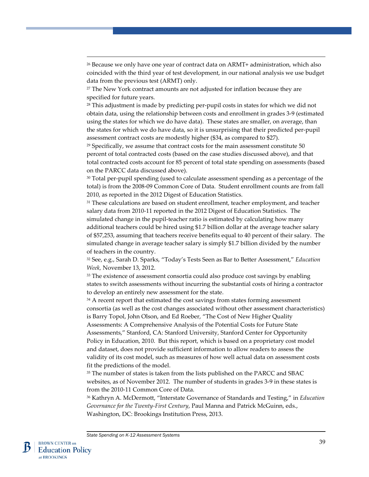<span id="page-39-0"></span><sup>26</sup> Because we only have one year of contract data on ARMT+ administration, which also coincided with the third year of test development, in our national analysis we use budget data from the previous test (ARMT) only.

<sup>27</sup> The New York contract amounts are not adjusted for inflation because they are specified for future years.

<sup>28</sup> This adjustment is made by predicting per-pupil costs in states for which we did not obtain data, using the relationship between costs and enrollment in grades 3-9 (estimated using the states for which we do have data). These states are smaller, on average, than the states for which we do have data, so it is unsurprising that their predicted per-pupil assessment contract costs are modestly higher (\$34, as compared to \$27).

 $29$  Specifically, we assume that contract costs for the main assessment constitute 50 percent of total contracted costs (based on the case studies discussed above), and that total contracted costs account for 85 percent of total state spending on assessments (based on the PARCC data discussed above).

<sup>30</sup> Total per-pupil spending (used to calculate assessment spending as a percentage of the total) is from the 2008-09 Common Core of Data. Student enrollment counts are from fall 2010, as reported in the 2012 Digest of Education Statistics.

<sup>31</sup> These calculations are based on student enrollment, teacher employment, and teacher salary data from 2010-11 reported in the 2012 Digest of Education Statistics. The simulated change in the pupil-teacher ratio is estimated by calculating how many additional teachers could be hired using \$1.7 billion dollar at the average teacher salary of \$57,253, assuming that teachers receive benefits equal to 40 percent of their salary. The simulated change in average teacher salary is simply \$1.7 billion divided by the number of teachers in the country.

<sup>32</sup> See, e.g., Sarah D. Sparks, "Today's Tests Seen as Bar to Better Assessment," *Education Week,* November 13, 2012.

<sup>33</sup> The existence of assessment consortia could also produce cost savings by enabling states to switch assessments without incurring the substantial costs of hiring a contractor to develop an entirely new assessment for the state.

<sup>34</sup> A recent report that estimated the cost savings from states forming assessment consortia (as well as the cost changes associated without other assessment characteristics) is Barry Topol, John Olson, and Ed Roeber, "The Cost of New Higher Quality Assessments: A Comprehensive Analysis of the Potential Costs for Future State Assessments," Stanford, CA: Stanford University, Stanford Center for Opportunity Policy in Education, 2010. But this report, which is based on a proprietary cost model and dataset, does not provide sufficient information to allow readers to assess the validity of its cost model, such as measures of how well actual data on assessment costs fit the predictions of the model.

<sup>35</sup> The number of states is taken from the lists published on the PARCC and SBAC websites, as of November 2012. The number of students in grades 3-9 in these states is from the 2010-11 Common Core of Data.

<sup>36</sup> Kathryn A. McDermott, "Interstate Governance of Standards and Testing," in *Education Governance for the Twenty-First Century*, Paul Manna and Patrick McGuinn, eds., Washington, DC: Brookings Institution Press, 2013.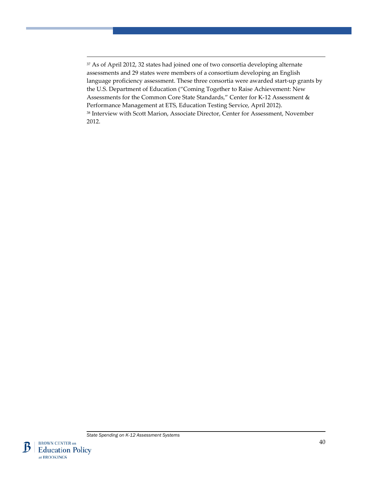Ŋ

at BROOKINGS

<span id="page-40-0"></span><sup>37</sup> As of April 2012, 32 states had joined one of two consortia developing alternate assessments and 29 states were members of a consortium developing an English language proficiency assessment. These three consortia were awarded start-up grants by the U.S. Department of Education ("Coming Together to Raise Achievement: New Assessments for the Common Core State Standards," Center for K-12 Assessment & Performance Management at ETS, Education Testing Service, April 2012). <sup>38</sup> Interview with Scott Marion, Associate Director, Center for Assessment, November 2012.